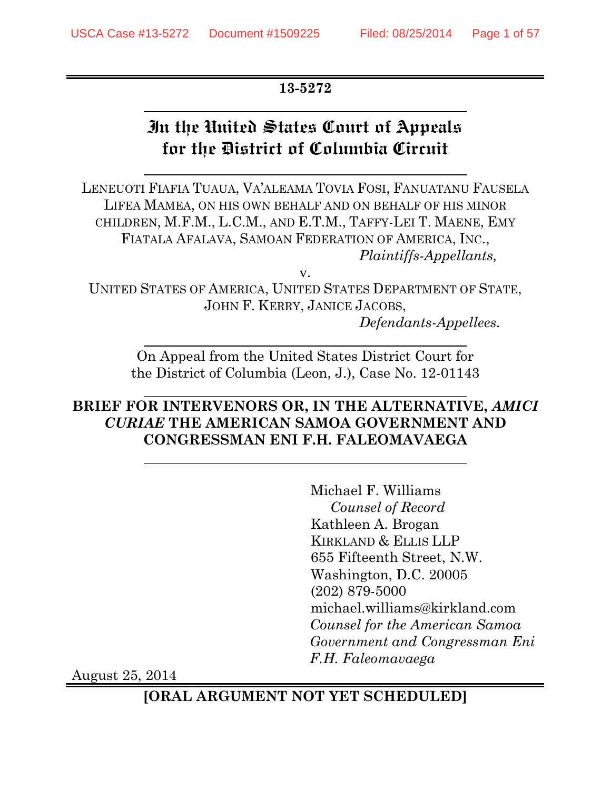## **13-5272**

# **In the United States Court of Appeals for the District of Columbia Circuit**

LENEUOTI FIAFIA TUAUA, VA'ALEAMA TOVIA FOSI, FANUATANU FAUSELA LIFEA MAMEA, ON HIS OWN BEHALF AND ON BEHALF OF HIS MINOR CHILDREN, M.F.M., L.C.M., AND E.T.M., TAFFY-LEI T. MAENE, EMY FIATALA AFALAVA, SAMOAN FEDERATION OF AMERICA, INC., *Plaintiffs-Appellants,*

v.

UNITED STATES OF AMERICA, UNITED STATES DEPARTMENT OF STATE, JOHN F. KERRY, JANICE JACOBS,

*Defendants-Appellees.*

On Appeal from the United States District Court for the District of Columbia (Leon, J.), Case No. 12-01143

## **BRIEF FOR INTERVENORS OR, IN THE ALTERNATIVE,** *AMICI CURIAE* **THE AMERICAN SAMOA GOVERNMENT AND CONGRESSMAN ENI F.H. FALEOMAVAEGA**

Michael F. Williams *Counsel of Record* Kathleen A. Brogan KIRKLAND & ELLIS LLP 655 Fifteenth Street, N.W. Washington, D.C. 20005 (202) 879-5000 michael.williams@kirkland.com *Counsel for the American Samoa Government and Congressman Eni F.H. Faleomavaega*

August 25, 2014

**[ORAL ARGUMENT NOT YET SCHEDULED]**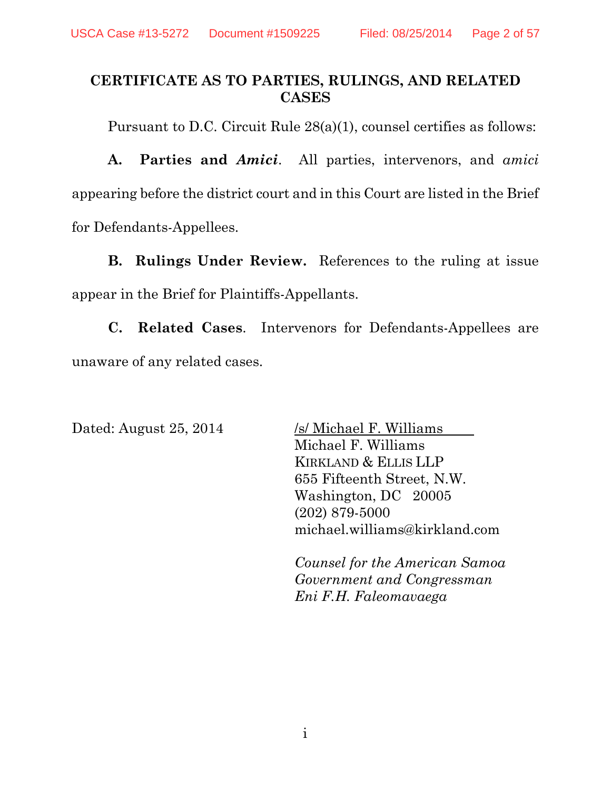## **CERTIFICATE AS TO PARTIES, RULINGS, AND RELATED CASES**

Pursuant to D.C. Circuit Rule 28(a)(1), counsel certifies as follows:

**A. Parties and** *Amici*. All parties, intervenors, and *amici* appearing before the district court and in this Court are listed in the Brief for Defendants-Appellees.

**B. Rulings Under Review.** References to the ruling at issue appear in the Brief for Plaintiffs-Appellants.

**C. Related Cases**. Intervenors for Defendants-Appellees are unaware of any related cases.

Dated: August 25, 2014 /s/ Michael F. Williams Michael F. Williams KIRKLAND & ELLIS LLP 655 Fifteenth Street, N.W. Washington, DC 20005 (202) 879-5000 michael.williams@kirkland.com

> *Counsel for the American Samoa Government and Congressman Eni F.H. Faleomavaega*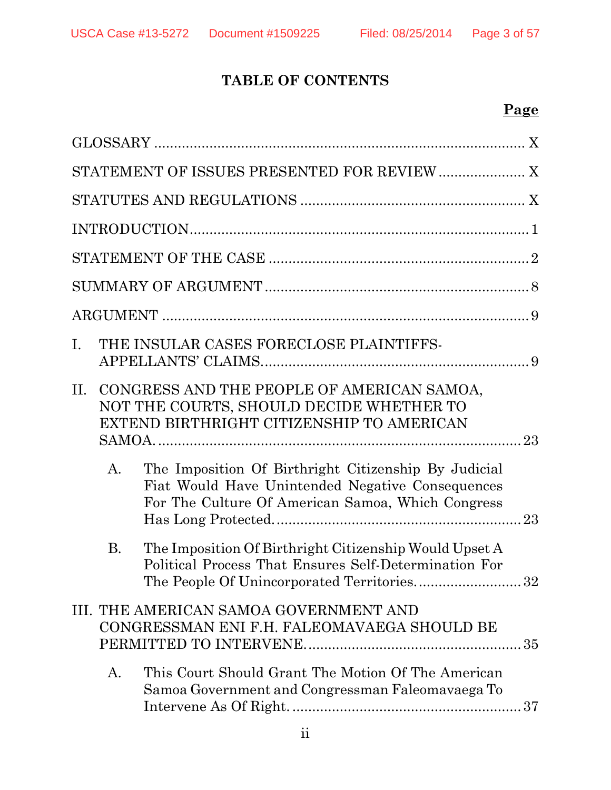## **TABLE OF CONTENTS**

|           | STATEMENT OF ISSUES PRESENTED FOR REVIEW  X                                                                                                                   |
|-----------|---------------------------------------------------------------------------------------------------------------------------------------------------------------|
|           |                                                                                                                                                               |
|           |                                                                                                                                                               |
|           |                                                                                                                                                               |
|           |                                                                                                                                                               |
|           |                                                                                                                                                               |
| Ι.        | THE INSULAR CASES FORECLOSE PLAINTIFFS-                                                                                                                       |
| $\Pi$ .   | CONGRESS AND THE PEOPLE OF AMERICAN SAMOA,<br>NOT THE COURTS, SHOULD DECIDE WHETHER TO<br>EXTEND BIRTHRIGHT CITIZENSHIP TO AMERICAN                           |
| $A$ .     | The Imposition Of Birthright Citizenship By Judicial<br>Fiat Would Have Unintended Negative Consequences<br>For The Culture Of American Samoa, Which Congress |
| <b>B.</b> | The Imposition Of Birthright Citizenship Would Upset A<br>Political Process That Ensures Self-Determination For<br>The People Of Unincorporated Territories32 |
|           | III. THE AMERICAN SAMOA GOVERNMENT AND<br>CONGRESSMAN ENI F.H. FALEOMAVAEGA SHOULD BE                                                                         |
| A.        | This Court Should Grant The Motion Of The American<br>Samoa Government and Congressman Faleomavaega To                                                        |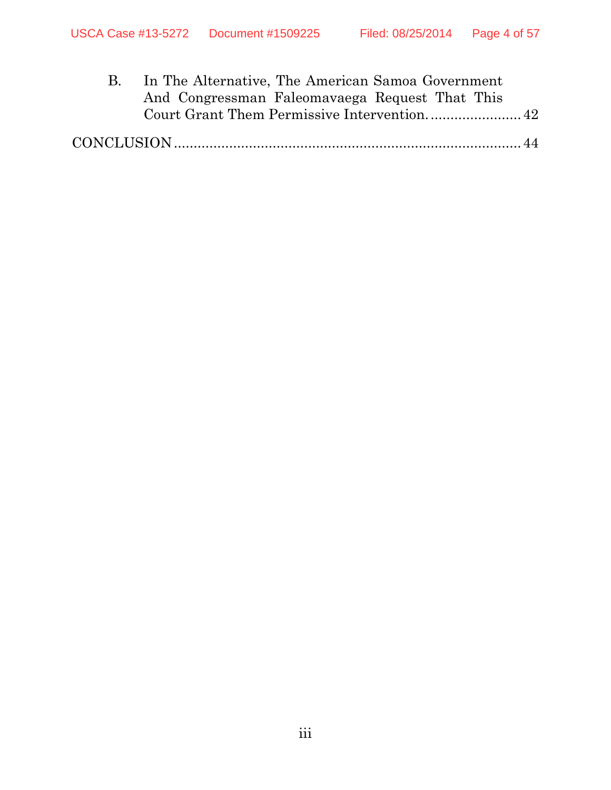|  | In The Alternative, The American Samoa Government |
|--|---------------------------------------------------|
|  | And Congressman Faleomavaega Request That This    |
|  |                                                   |
|  |                                                   |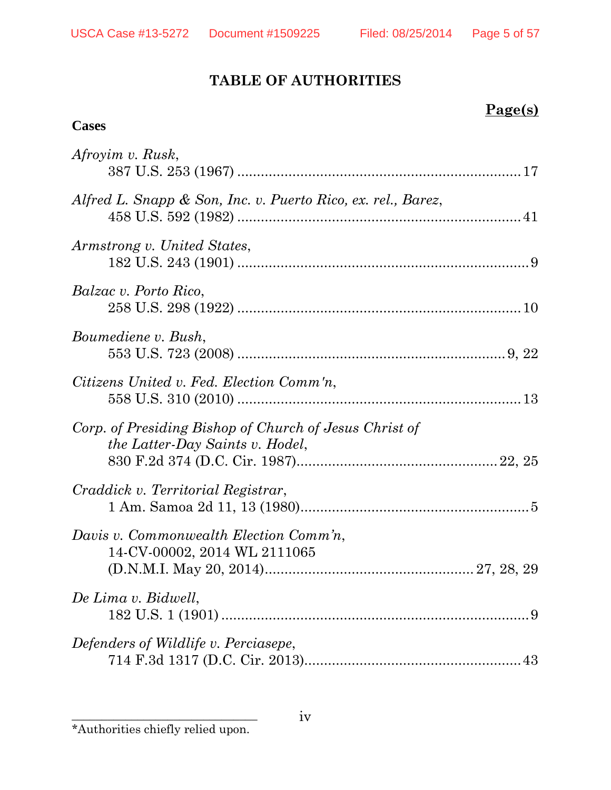# **TABLE OF AUTHORITIES**

## **Page(s)**

## **Cases**

| Afroyim v. Rusk,                                                                          |  |
|-------------------------------------------------------------------------------------------|--|
| Alfred L. Snapp & Son, Inc. v. Puerto Rico, ex. rel., Barez,                              |  |
| Armstrong v. United States,                                                               |  |
| <i>Balzac v. Porto Rico,</i>                                                              |  |
| Boumediene v. Bush,                                                                       |  |
| Citizens United v. Fed. Election Comm'n,                                                  |  |
| Corp. of Presiding Bishop of Church of Jesus Christ of<br>the Latter-Day Saints v. Hodel, |  |
| Craddick v. Territorial Registrar,                                                        |  |
| Davis v. Commonwealth Election Comm'n,<br>14-CV-00002, 2014 WL 2111065                    |  |
| De Lima v. Bidwell,                                                                       |  |
| Defenders of Wildlife v. Perciasepe,                                                      |  |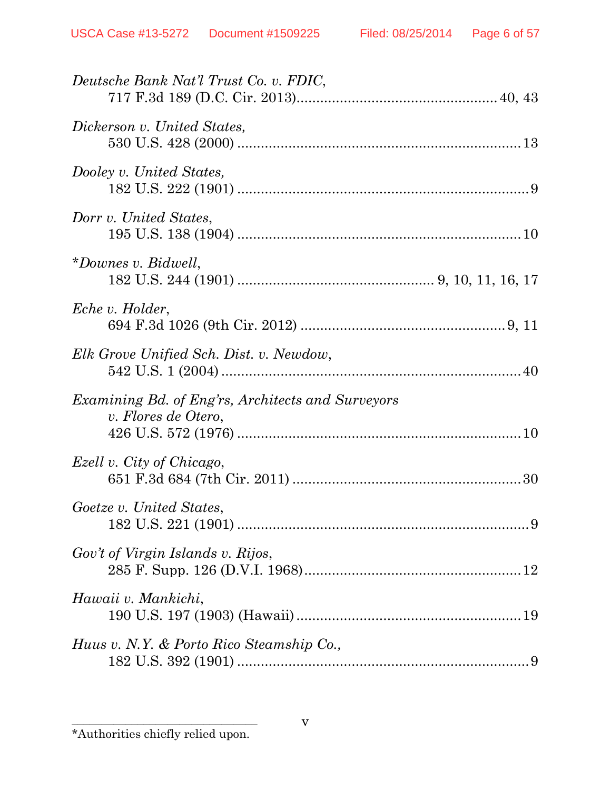| Deutsche Bank Nat'l Trust Co. v. FDIC,                                          |
|---------------------------------------------------------------------------------|
| Dickerson v. United States,                                                     |
| Dooley v. United States,                                                        |
| Dorr v. United States,                                                          |
| *Downes v. Bidwell,                                                             |
| Eche v. Holder,                                                                 |
| Elk Grove Unified Sch. Dist. v. Newdow,                                         |
| <i>Examining Bd. of Eng'rs, Architects and Surveyors</i><br>v. Flores de Otero, |
| Ezell v. City of Chicago,                                                       |
| Goetze v. United States,                                                        |
| Gov't of Virgin Islands v. Rijos,                                               |
| Hawaii v. Mankichi,                                                             |
| Huus v. N.Y. & Porto Rico Steamship Co.,                                        |

 $\overline{\phantom{a}}$  , where  $\overline{\phantom{a}}$  , where  $\overline{\phantom{a}}$  ,  $\overline{\phantom{a}}$  ,  $\overline{\phantom{a}}$  ,  $\overline{\phantom{a}}$  ,  $\overline{\phantom{a}}$  ,  $\overline{\phantom{a}}$  ,  $\overline{\phantom{a}}$  ,  $\overline{\phantom{a}}$  ,  $\overline{\phantom{a}}$  ,  $\overline{\phantom{a}}$  ,  $\overline{\phantom{a}}$  ,  $\overline{\phantom{a}}$  ,  $\overline{\phantom{a}}$  , \*Authorities chiefly relied upon.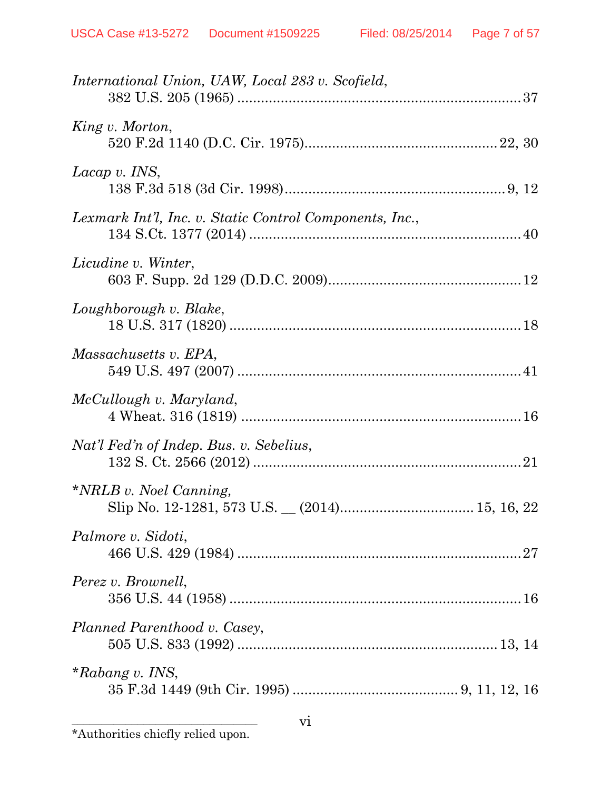| International Union, UAW, Local 283 v. Scofield,        |
|---------------------------------------------------------|
| King v. Morton,                                         |
| Lacap v. INS,                                           |
| Lexmark Int'l, Inc. v. Static Control Components, Inc., |
| Licudine v. Winter,                                     |
| Loughborough v. Blake,                                  |
| Massachusetts v. EPA,                                   |
| McCullough v. Maryland,                                 |
| Nat'l Fed'n of Indep. Bus. v. Sebelius,                 |
| <i>*NRLB v. Noel Canning,</i>                           |
| Palmore v. Sidoti,                                      |
| Perez v. Brownell,                                      |
| Planned Parenthood v. Casey,                            |
| $*Rabang$ v. INS,                                       |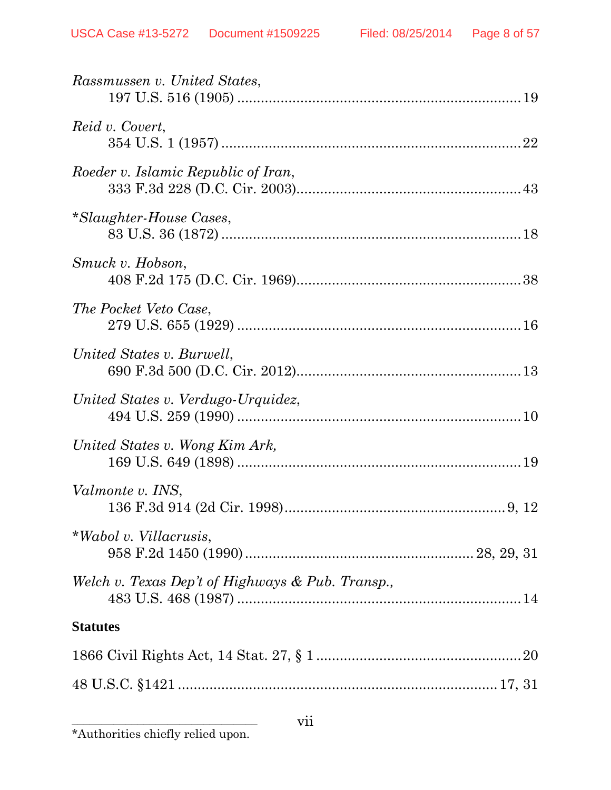| Rassmussen v. United States,                     |
|--------------------------------------------------|
| Reid v. Covert,                                  |
| Roeder v. Islamic Republic of Iran,              |
| *Slaughter-House Cases,                          |
| Smuck v. Hobson,                                 |
| The Pocket Veto Case,                            |
| United States v. Burwell,                        |
| United States v. Verdugo-Urquidez,               |
| United States v. Wong Kim Ark,                   |
| Valmonte v. INS,                                 |
| *Wabol v. Villacrusis,                           |
| Welch v. Texas Dep't of Highways & Pub. Transp., |
| <b>Statutes</b>                                  |
|                                                  |
|                                                  |
|                                                  |

vii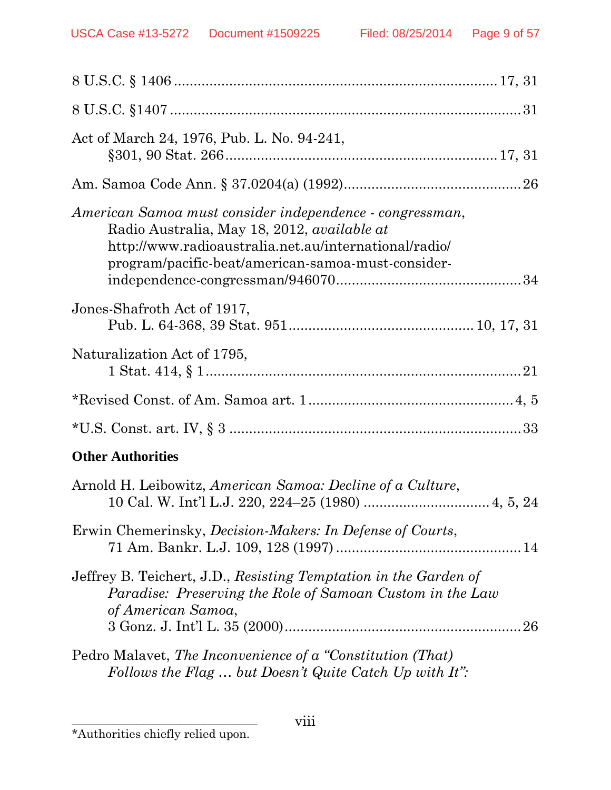| Act of March 24, 1976, Pub. L. No. 94-241,                                                                                                                                                                                    |
|-------------------------------------------------------------------------------------------------------------------------------------------------------------------------------------------------------------------------------|
|                                                                                                                                                                                                                               |
| American Samoa must consider independence - congressman,<br>Radio Australia, May 18, 2012, <i>available at</i><br>http://www.radioaustralia.net.au/international/radio/<br>program/pacific-beat/american-samoa-must-consider- |
| Jones-Shafroth Act of 1917,                                                                                                                                                                                                   |
| Naturalization Act of 1795,                                                                                                                                                                                                   |
|                                                                                                                                                                                                                               |
|                                                                                                                                                                                                                               |
| <b>Other Authorities</b>                                                                                                                                                                                                      |
| Arnold H. Leibowitz, American Samoa: Decline of a Culture,                                                                                                                                                                    |
| Erwin Chemerinsky, <i>Decision-Makers: In Defense of Courts</i> ,                                                                                                                                                             |
| Jeffrey B. Teichert, J.D., Resisting Temptation in the Garden of<br>Paradise: Preserving the Role of Samoan Custom in the Law<br>of American Samoa,<br>26                                                                     |
| Pedro Malavet, The Inconvenience of a "Constitution (That)<br>Follows the Flag  but Doesn't Quite Catch Up with It":                                                                                                          |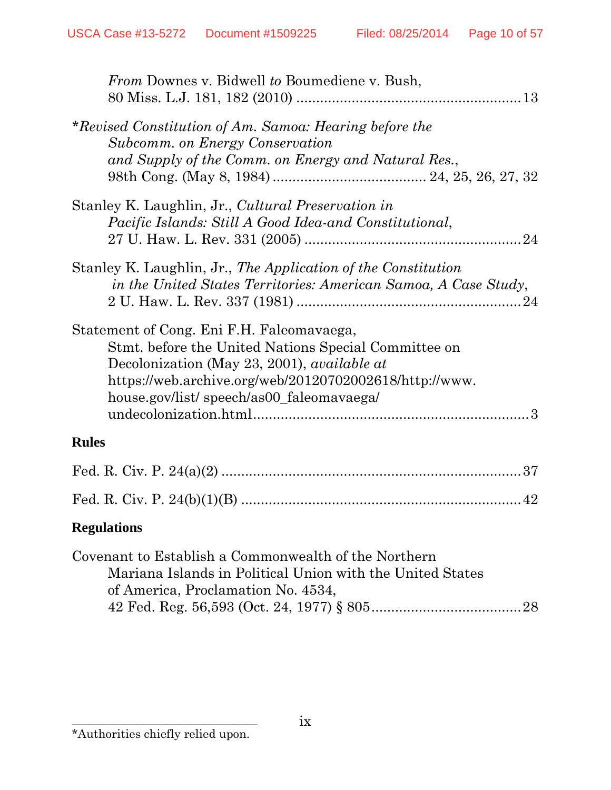| <i>From Downes v. Bidwell to Boumediene v. Bush,</i>                                                                                                                                                                                                           |
|----------------------------------------------------------------------------------------------------------------------------------------------------------------------------------------------------------------------------------------------------------------|
| *Revised Constitution of Am. Samoa: Hearing before the<br>Subcomm. on Energy Conservation<br>and Supply of the Comm. on Energy and Natural Res.,                                                                                                               |
| Stanley K. Laughlin, Jr., Cultural Preservation in<br>Pacific Islands: Still A Good Idea-and Constitutional,                                                                                                                                                   |
| Stanley K. Laughlin, Jr., The Application of the Constitution<br>in the United States Territories: American Samoa, A Case Study,                                                                                                                               |
| Statement of Cong. Eni F.H. Faleomavaega,<br>Stmt. before the United Nations Special Committee on<br>Decolonization (May 23, 2001), <i>available at</i><br>https://web.archive.org/web/20120702002618/http://www.<br>house.gov/list/ speech/as00_faleomavaega/ |
| <b>Rules</b>                                                                                                                                                                                                                                                   |
|                                                                                                                                                                                                                                                                |
| 42                                                                                                                                                                                                                                                             |
| <b>Regulations</b>                                                                                                                                                                                                                                             |
| Covenant to Establish a Commonwealth of the Northern<br>Mariana Islands in Political Union with the United States<br>of America, Proclamation No. 4534,<br>28                                                                                                  |

 $\overline{\phantom{a}}$  , where  $\overline{\phantom{a}}$  , where  $\overline{\phantom{a}}$  ,  $\overline{\phantom{a}}$  ,  $\overline{\phantom{a}}$  ,  $\overline{\phantom{a}}$  ,  $\overline{\phantom{a}}$  ,  $\overline{\phantom{a}}$  ,  $\overline{\phantom{a}}$  ,  $\overline{\phantom{a}}$  ,  $\overline{\phantom{a}}$  ,  $\overline{\phantom{a}}$  ,  $\overline{\phantom{a}}$  ,  $\overline{\phantom{a}}$  ,  $\overline{\phantom{a}}$  , \*Authorities chiefly relied upon.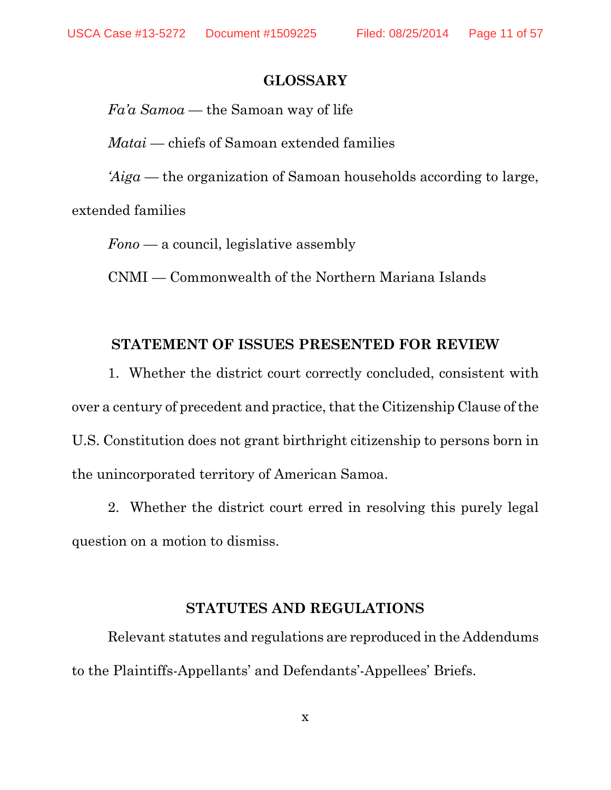#### **GLOSSARY**

*Fa'a Samoa* — the Samoan way of life

*Matai* — chiefs of Samoan extended families

*'Aiga* — the organization of Samoan households according to large,

extended families

*Fono* — a council, legislative assembly

CNMI — Commonwealth of the Northern Mariana Islands

#### **STATEMENT OF ISSUES PRESENTED FOR REVIEW**

1. Whether the district court correctly concluded, consistent with over a century of precedent and practice, that the Citizenship Clause of the U.S. Constitution does not grant birthright citizenship to persons born in the unincorporated territory of American Samoa.

2. Whether the district court erred in resolving this purely legal question on a motion to dismiss.

#### **STATUTES AND REGULATIONS**

Relevant statutes and regulations are reproduced in the Addendums to the Plaintiffs-Appellants' and Defendants'-Appellees' Briefs.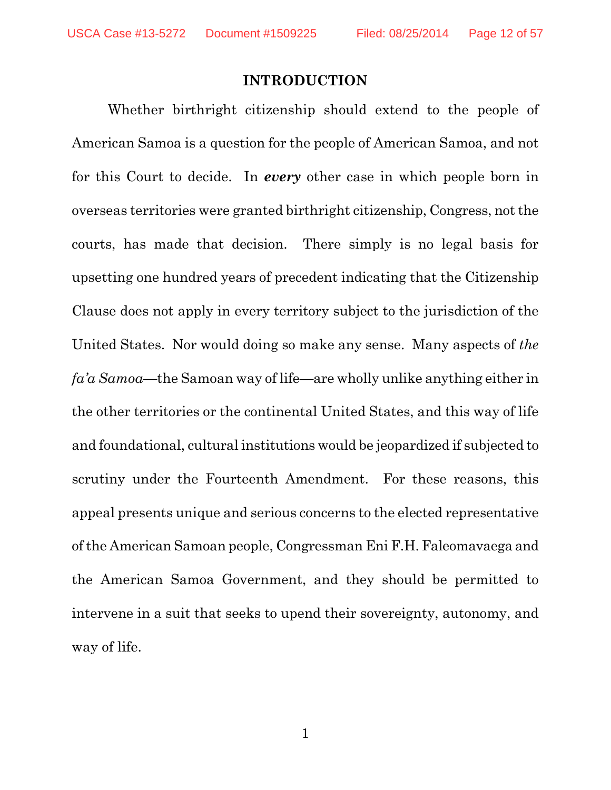#### **INTRODUCTION**

Whether birthright citizenship should extend to the people of American Samoa is a question for the people of American Samoa, and not for this Court to decide. In *every* other case in which people born in overseas territories were granted birthright citizenship, Congress, not the courts, has made that decision. There simply is no legal basis for upsetting one hundred years of precedent indicating that the Citizenship Clause does not apply in every territory subject to the jurisdiction of the United States. Nor would doing so make any sense. Many aspects of *the fa'a Samoa*—the Samoan way of life—are wholly unlike anything either in the other territories or the continental United States, and this way of life and foundational, cultural institutions would be jeopardized if subjected to scrutiny under the Fourteenth Amendment. For these reasons, this appeal presents unique and serious concerns to the elected representative ofthe American Samoan people, Congressman Eni F.H. Faleomavaega and the American Samoa Government, and they should be permitted to intervene in a suit that seeks to upend their sovereignty, autonomy, and way of life.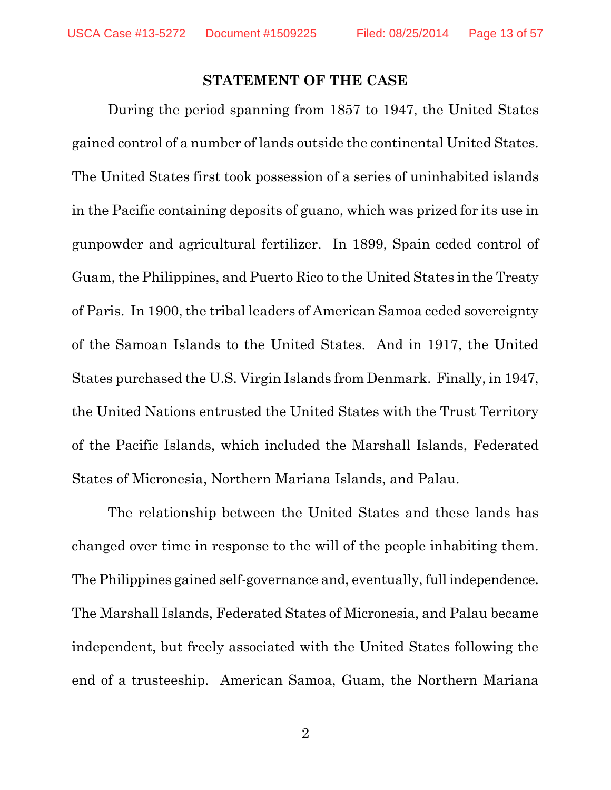#### **STATEMENT OF THE CASE**

During the period spanning from 1857 to 1947, the United States gained control of a number of lands outside the continental United States. The United States first took possession of a series of uninhabited islands in the Pacific containing deposits of guano, which was prized for its use in gunpowder and agricultural fertilizer. In 1899, Spain ceded control of Guam, the Philippines, and Puerto Rico to the United States in the Treaty of Paris. In 1900, the tribal leaders of American Samoa ceded sovereignty of the Samoan Islands to the United States. And in 1917, the United States purchased the U.S. Virgin Islands from Denmark. Finally, in 1947, the United Nations entrusted the United States with the Trust Territory of the Pacific Islands, which included the Marshall Islands, Federated States of Micronesia, Northern Mariana Islands, and Palau.

The relationship between the United States and these lands has changed over time in response to the will of the people inhabiting them. The Philippines gained self-governance and, eventually, full independence. The Marshall Islands, Federated States of Micronesia, and Palau became independent, but freely associated with the United States following the end of a trusteeship. American Samoa, Guam, the Northern Mariana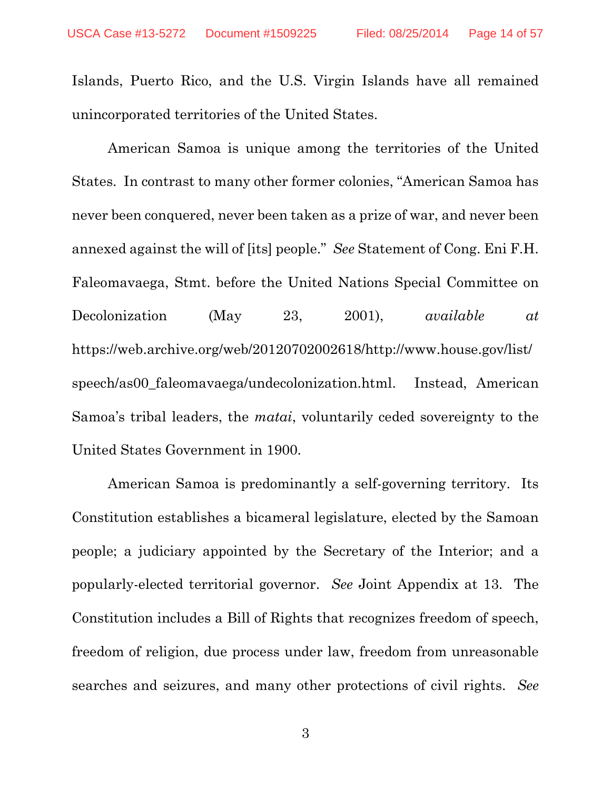Islands, Puerto Rico, and the U.S. Virgin Islands have all remained unincorporated territories of the United States.

American Samoa is unique among the territories of the United States. In contrast to many other former colonies, "American Samoa has never been conquered, never been taken as a prize of war, and never been annexed against the will of [its] people." *See* Statement of Cong. Eni F.H. Faleomavaega, Stmt. before the United Nations Special Committee on Decolonization (May 23, 2001), *available at* https://web.archive.org/web/20120702002618/http://www.house.gov/list/ speech/as00\_faleomavaega/undecolonization.html. Instead, American Samoa's tribal leaders, the *matai*, voluntarily ceded sovereignty to the United States Government in 1900.

American Samoa is predominantly a self-governing territory. Its Constitution establishes a bicameral legislature, elected by the Samoan people; a judiciary appointed by the Secretary of the Interior; and a popularly-elected territorial governor. *See* Joint Appendix at 13. The Constitution includes a Bill of Rights that recognizes freedom of speech, freedom of religion, due process under law, freedom from unreasonable searches and seizures, and many other protections of civil rights. *See*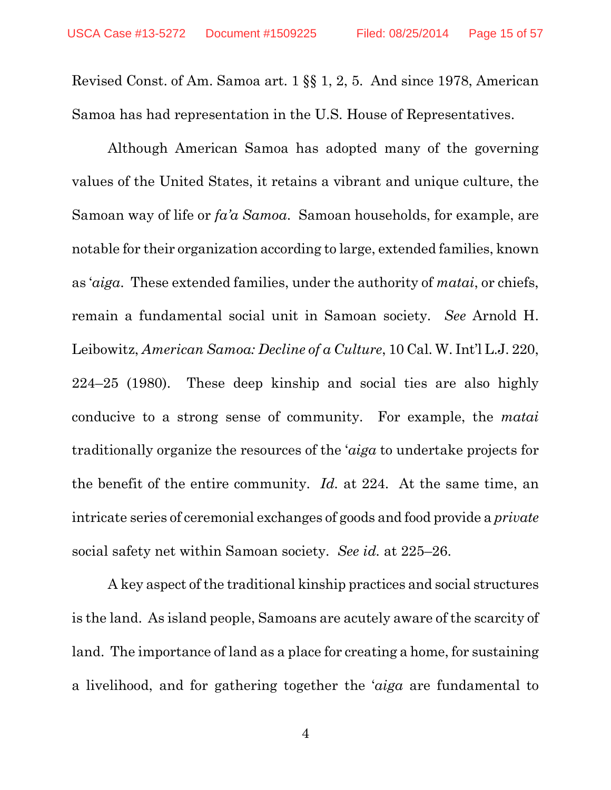Revised Const. of Am. Samoa art. 1 §§ 1, 2, 5. And since 1978, American Samoa has had representation in the U.S. House of Representatives.

Although American Samoa has adopted many of the governing values of the United States, it retains a vibrant and unique culture, the Samoan way of life or *fa'a Samoa*. Samoan households, for example, are notable for their organization according to large, extended families, known as '*aiga*. These extended families, under the authority of *matai*, or chiefs, remain a fundamental social unit in Samoan society. *See* Arnold H. Leibowitz, *American Samoa: Decline of a Culture*, 10 Cal. W. Int'l L.J. 220, 224–25 (1980). These deep kinship and social ties are also highly conducive to a strong sense of community. For example, the *matai*  traditionally organize the resources of the '*aiga* to undertake projects for the benefit of the entire community. *Id.* at 224. At the same time, an intricate series of ceremonial exchanges of goods and food provide a *private* social safety net within Samoan society. *See id.* at 225–26.

A key aspect of the traditional kinship practices and social structures is the land. As island people, Samoans are acutely aware of the scarcity of land. The importance of land as a place for creating a home, for sustaining a livelihood, and for gathering together the '*aiga* are fundamental to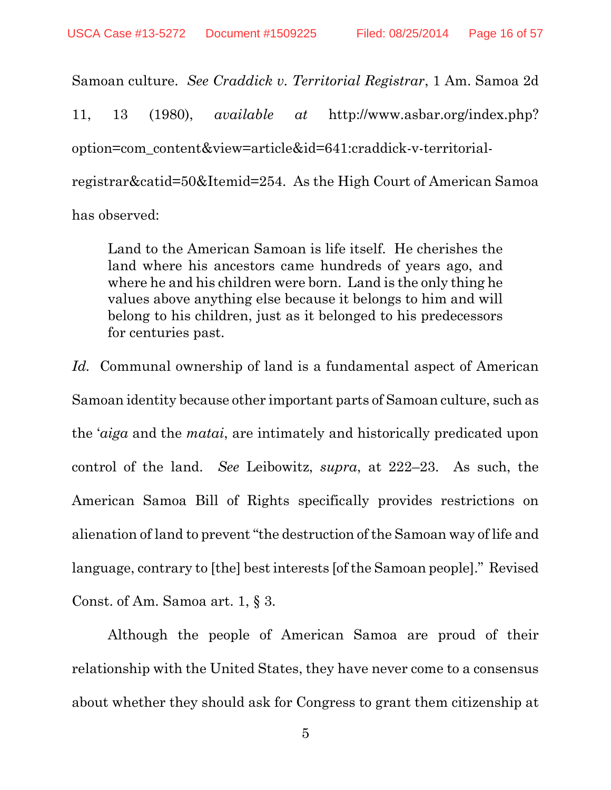Samoan culture. *See Craddick v. Territorial Registrar*, 1 Am. Samoa 2d 11, 13 (1980), *available at* http://www.asbar.org/index.php? option=com\_content&view=article&id=641:craddick-v-territorialregistrar&catid=50&Itemid=254. As the High Court of American Samoa has observed:

Land to the American Samoan is life itself. He cherishes the land where his ancestors came hundreds of years ago, and where he and his children were born. Land is the only thing he values above anything else because it belongs to him and will belong to his children, just as it belonged to his predecessors for centuries past.

*Id.* Communal ownership of land is a fundamental aspect of American Samoan identity because other important parts of Samoan culture, such as the '*aiga* and the *matai*, are intimately and historically predicated upon control of the land. *See* Leibowitz, *supra*, at 222–23. As such, the American Samoa Bill of Rights specifically provides restrictions on alienation of land to prevent "the destruction of the Samoan way of life and language, contrary to [the] best interests [of the Samoan people]." Revised Const. of Am. Samoa art. 1, § 3.

Although the people of American Samoa are proud of their relationship with the United States, they have never come to a consensus about whether they should ask for Congress to grant them citizenship at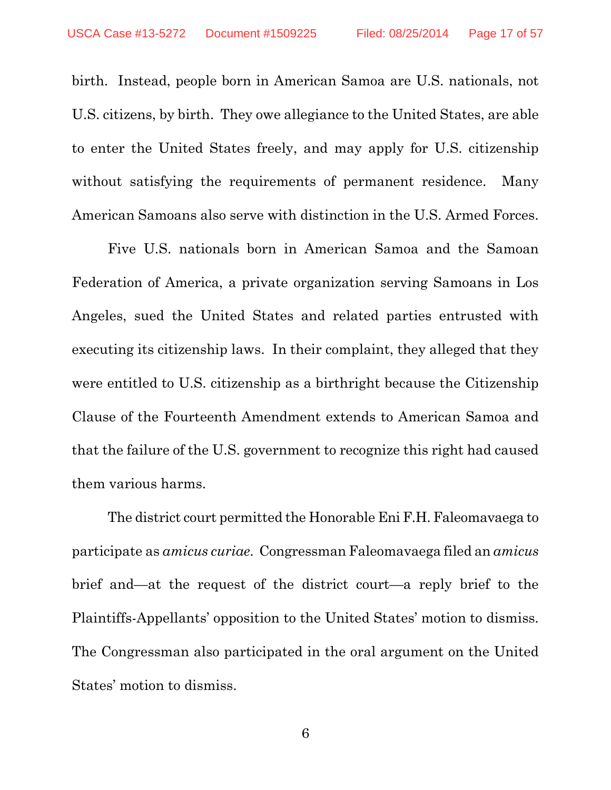birth. Instead, people born in American Samoa are U.S. nationals, not U.S. citizens, by birth. They owe allegiance to the United States, are able to enter the United States freely, and may apply for U.S. citizenship without satisfying the requirements of permanent residence. Many American Samoans also serve with distinction in the U.S. Armed Forces.

Five U.S. nationals born in American Samoa and the Samoan Federation of America, a private organization serving Samoans in Los Angeles, sued the United States and related parties entrusted with executing its citizenship laws. In their complaint, they alleged that they were entitled to U.S. citizenship as a birthright because the Citizenship Clause of the Fourteenth Amendment extends to American Samoa and that the failure of the U.S. government to recognize this right had caused them various harms.

The district court permitted the Honorable Eni F.H. Faleomavaega to participate as *amicus curiae*. Congressman Faleomavaega filed an *amicus* brief and—at the request of the district court—a reply brief to the Plaintiffs-Appellants' opposition to the United States' motion to dismiss. The Congressman also participated in the oral argument on the United States' motion to dismiss.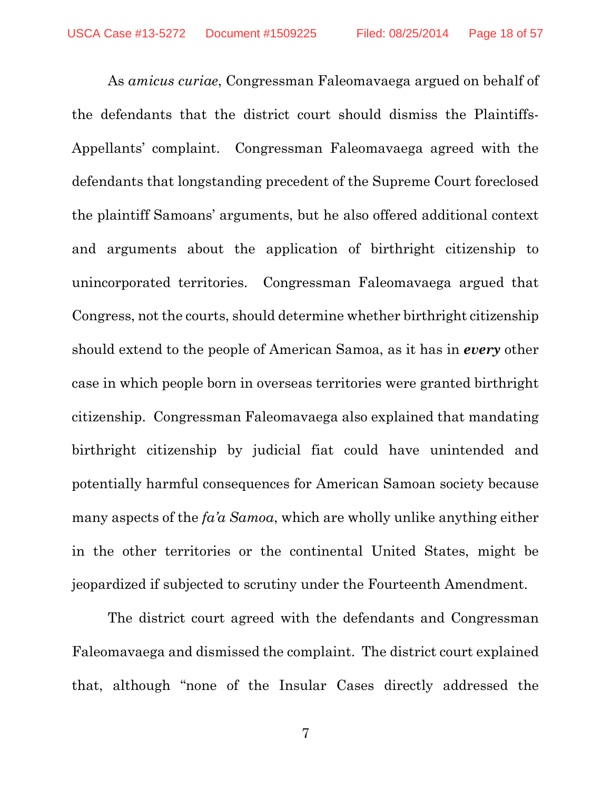As *amicus curiae*, Congressman Faleomavaega argued on behalf of the defendants that the district court should dismiss the Plaintiffs-Appellants' complaint. Congressman Faleomavaega agreed with the defendants that longstanding precedent of the Supreme Court foreclosed the plaintiff Samoans' arguments, but he also offered additional context and arguments about the application of birthright citizenship to unincorporated territories. Congressman Faleomavaega argued that Congress, not the courts, should determine whether birthright citizenship should extend to the people of American Samoa, as it has in *every* other case in which people born in overseas territories were granted birthright citizenship. Congressman Faleomavaega also explained that mandating birthright citizenship by judicial fiat could have unintended and potentially harmful consequences for American Samoan society because many aspects of the *fa'a Samoa*, which are wholly unlike anything either in the other territories or the continental United States, might be jeopardized if subjected to scrutiny under the Fourteenth Amendment.

The district court agreed with the defendants and Congressman Faleomavaega and dismissed the complaint. The district court explained that, although "none of the Insular Cases directly addressed the

7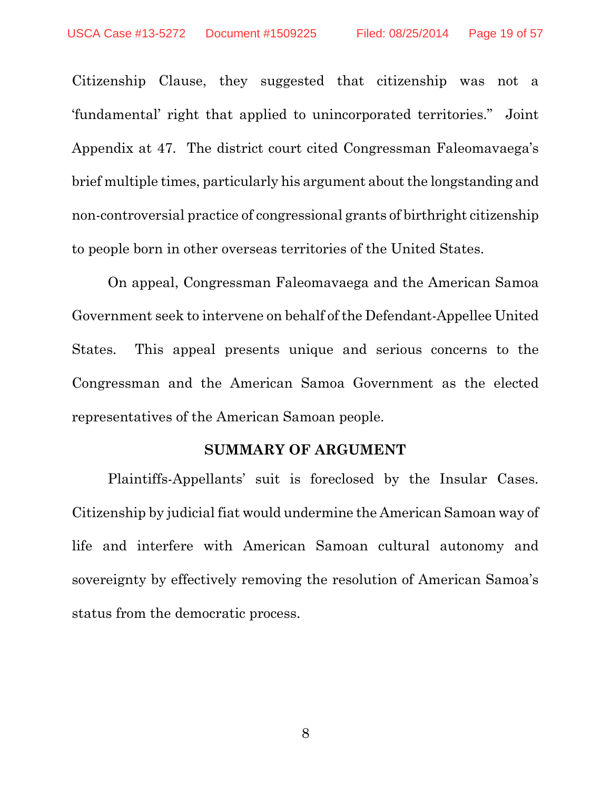Citizenship Clause, they suggested that citizenship was not a 'fundamental' right that applied to unincorporated territories." Joint Appendix at 47. The district court cited Congressman Faleomavaega's brief multiple times, particularly his argument about the longstanding and non-controversial practice of congressional grants of birthright citizenship to people born in other overseas territories of the United States.

On appeal, Congressman Faleomavaega and the American Samoa Government seek to intervene on behalf of the Defendant-Appellee United States. This appeal presents unique and serious concerns to the Congressman and the American Samoa Government as the elected representatives of the American Samoan people.

#### **SUMMARY OF ARGUMENT**

Plaintiffs-Appellants' suit is foreclosed by the Insular Cases. Citizenship by judicial fiat would undermine the American Samoan way of life and interfere with American Samoan cultural autonomy and sovereignty by effectively removing the resolution of American Samoa's status from the democratic process.

8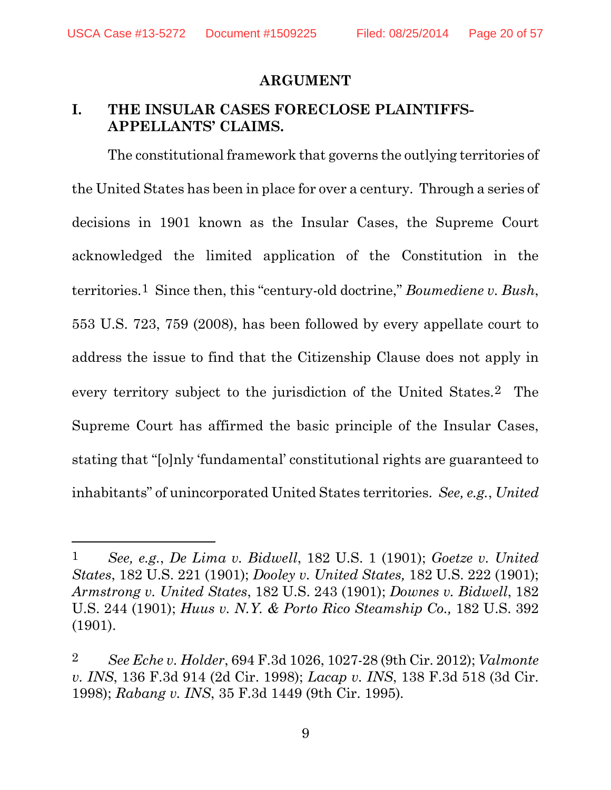USCA Case #13-5272 Document #1509225 Filed: 08/25/2014 Page 20 of 57

 $\overline{a}$ 

#### **ARGUMENT**

### **I. THE INSULAR CASES FORECLOSE PLAINTIFFS-APPELLANTS' CLAIMS.**

The constitutional framework that governs the outlying territories of the United States has been in place for over a century. Through a series of decisions in 1901 known as the Insular Cases, the Supreme Court acknowledged the limited application of the Constitution in the territories.1 Since then, this "century-old doctrine," *Boumediene v. Bush*, 553 U.S. 723, 759 (2008), has been followed by every appellate court to address the issue to find that the Citizenship Clause does not apply in every territory subject to the jurisdiction of the United States.2 The Supreme Court has affirmed the basic principle of the Insular Cases, stating that "[o]nly 'fundamental' constitutional rights are guaranteed to inhabitants" of unincorporated United States territories. *See, e.g.*, *United* 

<sup>1</sup> *See, e.g.*, *De Lima v. Bidwell*, 182 U.S. 1 (1901); *Goetze v. United States*, 182 U.S. 221 (1901); *Dooley v. United States,* 182 U.S. 222 (1901); *Armstrong v. United States*, 182 U.S. 243 (1901); *Downes v. Bidwell*, 182 U.S. 244 (1901); *Huus v. N.Y. & Porto Rico Steamship Co.,* 182 U.S. 392 (1901).

<sup>2</sup> *See Eche v. Holder*, 694 F.3d 1026, 1027-28 (9th Cir. 2012); *Valmonte v. INS*, 136 F.3d 914 (2d Cir. 1998); *Lacap v. INS*, 138 F.3d 518 (3d Cir. 1998); *Rabang v. INS*, 35 F.3d 1449 (9th Cir. 1995)*.*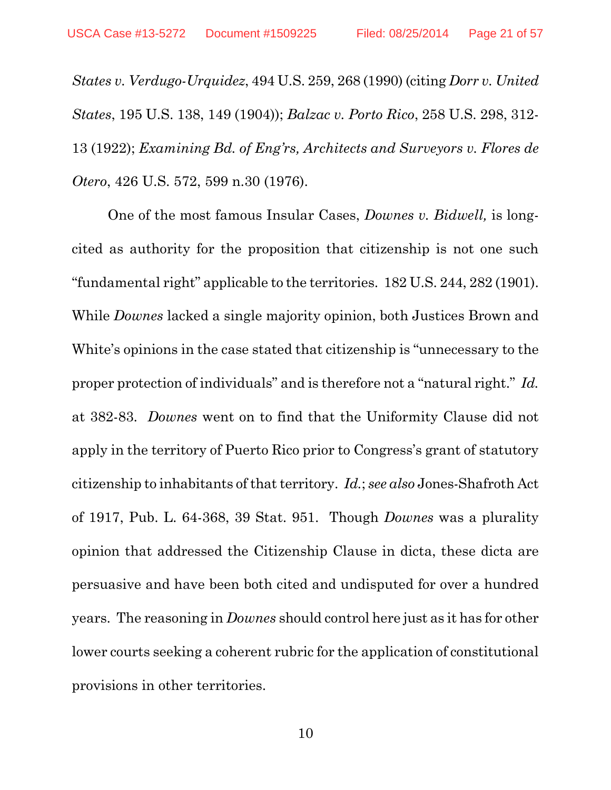*States v. Verdugo-Urquidez*, 494 U.S. 259, 268 (1990) (citing *Dorr v. United States*, 195 U.S. 138, 149 (1904)); *Balzac v. Porto Rico*, 258 U.S. 298, 312- 13 (1922); *Examining Bd. of Eng'rs, Architects and Surveyors v. Flores de Otero*, 426 U.S. 572, 599 n.30 (1976).

One of the most famous Insular Cases, *Downes v. Bidwell,* is longcited as authority for the proposition that citizenship is not one such "fundamental right" applicable to the territories. 182 U.S. 244, 282 (1901). While *Downes* lacked a single majority opinion, both Justices Brown and White's opinions in the case stated that citizenship is "unnecessary to the proper protection of individuals" and is therefore not a "natural right." *Id.* at 382-83. *Downes* went on to find that the Uniformity Clause did not apply in the territory of Puerto Rico prior to Congress's grant of statutory citizenship to inhabitants of that territory. *Id.*; *see also* Jones-Shafroth Act of 1917, Pub. L. 64-368, 39 Stat. 951. Though *Downes* was a plurality opinion that addressed the Citizenship Clause in dicta, these dicta are persuasive and have been both cited and undisputed for over a hundred years. The reasoning in *Downes* should control here just as it has for other lower courts seeking a coherent rubric for the application of constitutional provisions in other territories.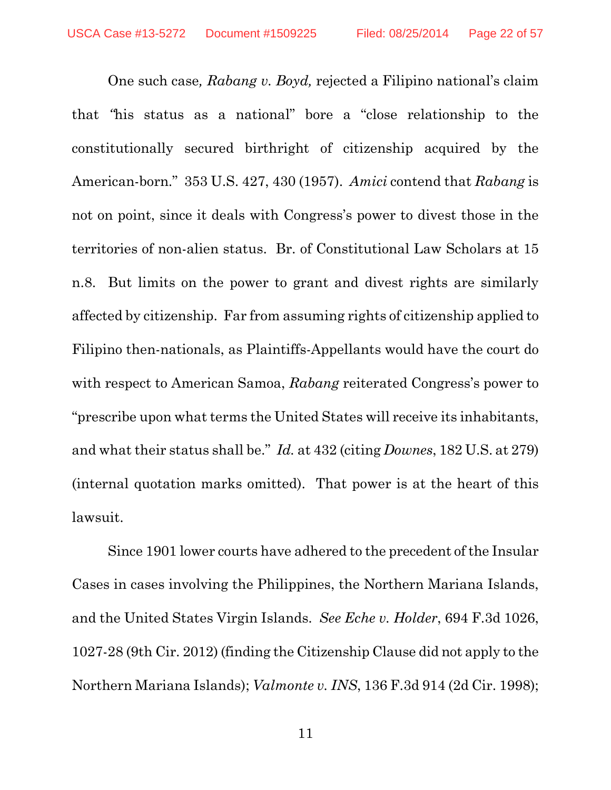One such case*, Rabang v. Boyd,* rejected a Filipino national's claim that *"*his status as a national" bore a "close relationship to the constitutionally secured birthright of citizenship acquired by the American-born." 353 U.S. 427, 430 (1957). *Amici* contend that *Rabang* is not on point, since it deals with Congress's power to divest those in the territories of non-alien status. Br. of Constitutional Law Scholars at 15 n.8. But limits on the power to grant and divest rights are similarly affected by citizenship. Far from assuming rights of citizenship applied to Filipino then-nationals, as Plaintiffs-Appellants would have the court do with respect to American Samoa, *Rabang* reiterated Congress's power to "prescribe upon what terms the United States will receive its inhabitants, and what their status shall be." *Id.* at 432 (citing *Downes*, 182 U.S. at 279) (internal quotation marks omitted). That power is at the heart of this lawsuit.

Since 1901 lower courts have adhered to the precedent of the Insular Cases in cases involving the Philippines, the Northern Mariana Islands, and the United States Virgin Islands. *See Eche v. Holder*, 694 F.3d 1026, 1027-28 (9th Cir. 2012) (finding the Citizenship Clause did not apply to the Northern Mariana Islands); *Valmonte v. INS*, 136 F.3d 914 (2d Cir. 1998);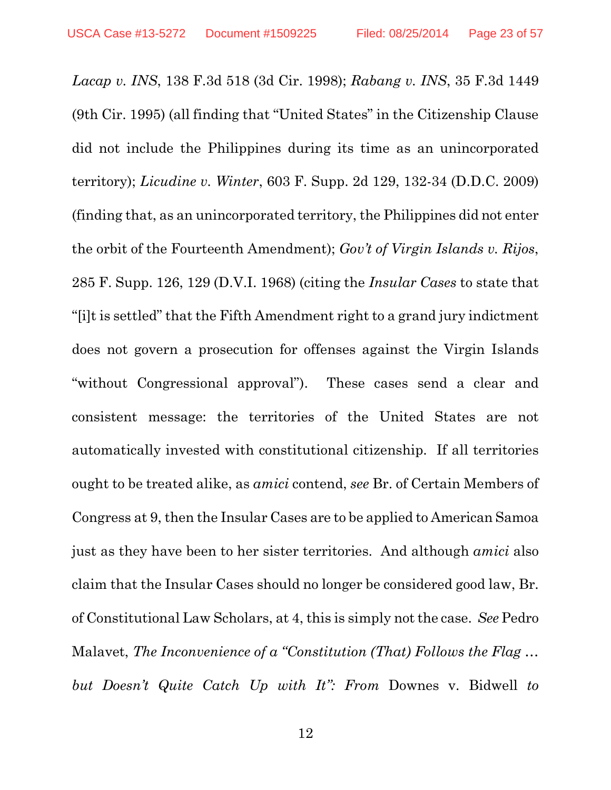*Lacap v. INS*, 138 F.3d 518 (3d Cir. 1998); *Rabang v. INS*, 35 F.3d 1449 (9th Cir. 1995) (all finding that "United States" in the Citizenship Clause did not include the Philippines during its time as an unincorporated territory); *Licudine v. Winter*, 603 F. Supp. 2d 129, 132-34 (D.D.C. 2009) (finding that, as an unincorporated territory, the Philippines did not enter the orbit of the Fourteenth Amendment); *Gov't of Virgin Islands v. Rijos*, 285 F. Supp. 126, 129 (D.V.I. 1968) (citing the *Insular Cases* to state that "[i]t is settled" that the Fifth Amendment right to a grand jury indictment does not govern a prosecution for offenses against the Virgin Islands "without Congressional approval"). These cases send a clear and consistent message: the territories of the United States are not automatically invested with constitutional citizenship. If all territories ought to be treated alike, as *amici* contend, *see* Br. of Certain Members of Congress at 9, then the Insular Cases are to be applied to American Samoa just as they have been to her sister territories. And although *amici* also claim that the Insular Cases should no longer be considered good law, Br. of Constitutional Law Scholars, at 4, this is simply not the case. *See* Pedro Malavet, *The Inconvenience of a "Constitution (That) Follows the Flag … but Doesn't Quite Catch Up with It": From* Downes v. Bidwell *to*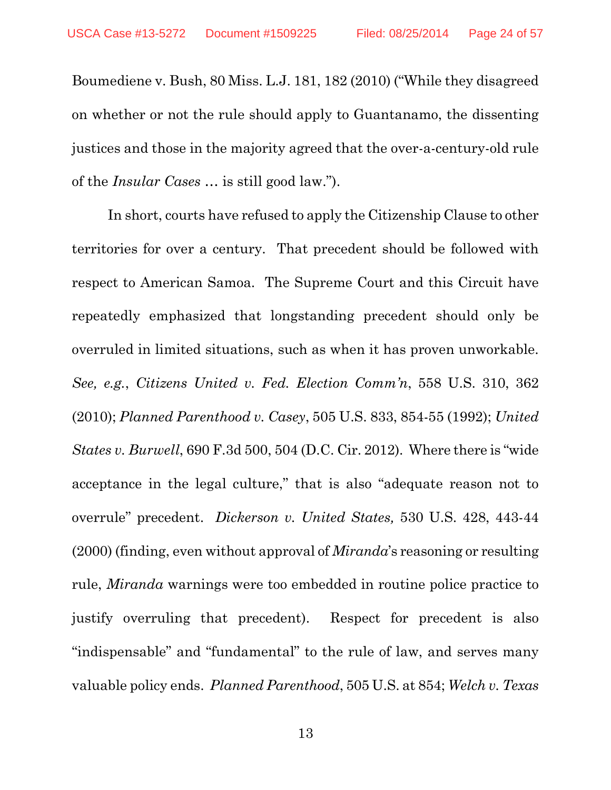Boumediene v. Bush, 80 Miss. L.J. 181, 182 (2010) ("While they disagreed on whether or not the rule should apply to Guantanamo, the dissenting justices and those in the majority agreed that the over-a-century-old rule of the *Insular Cases* … is still good law.").

In short, courts have refused to apply the Citizenship Clause to other territories for over a century. That precedent should be followed with respect to American Samoa. The Supreme Court and this Circuit have repeatedly emphasized that longstanding precedent should only be overruled in limited situations, such as when it has proven unworkable. *See, e.g.*, *Citizens United v. Fed. Election Comm'n*, 558 U.S. 310, 362 (2010); *Planned Parenthood v. Casey*, 505 U.S. 833, 854-55 (1992); *United States v. Burwell*, 690 F.3d 500, 504 (D.C. Cir. 2012). Where there is "wide acceptance in the legal culture," that is also "adequate reason not to overrule" precedent. *Dickerson v. United States,* 530 U.S. 428, 443-44 (2000) (finding, even without approval of *Miranda*'s reasoning or resulting rule, *Miranda* warnings were too embedded in routine police practice to justify overruling that precedent). Respect for precedent is also "indispensable" and "fundamental" to the rule of law, and serves many valuable policy ends. *Planned Parenthood*, 505 U.S. at 854; *Welch v. Texas*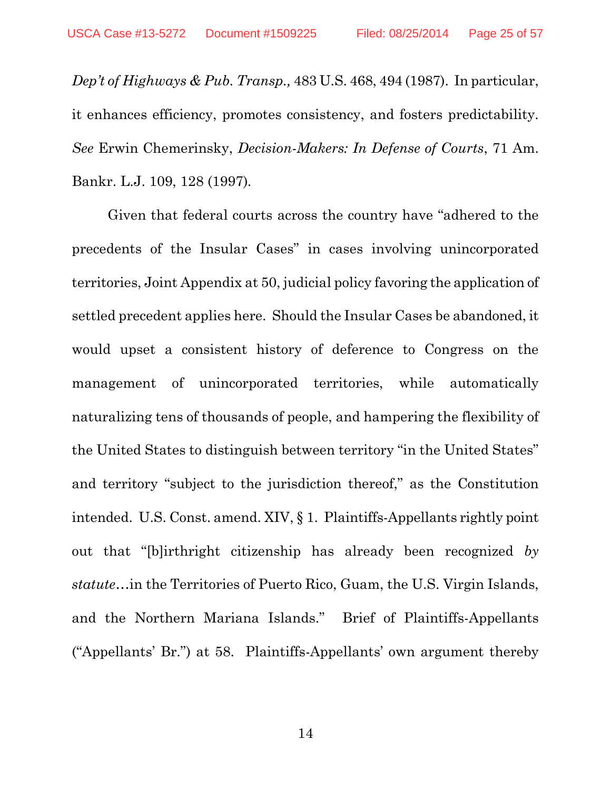*Dep't of Highways & Pub. Transp.,* 483 U.S. 468, 494 (1987). In particular, it enhances efficiency, promotes consistency, and fosters predictability. *See* Erwin Chemerinsky, *Decision-Makers: In Defense of Courts*, 71 Am. Bankr. L.J. 109, 128 (1997)*.*

Given that federal courts across the country have "adhered to the precedents of the Insular Cases" in cases involving unincorporated territories, Joint Appendix at 50, judicial policy favoring the application of settled precedent applies here. Should the Insular Cases be abandoned, it would upset a consistent history of deference to Congress on the management of unincorporated territories, while automatically naturalizing tens of thousands of people, and hampering the flexibility of the United States to distinguish between territory "in the United States" and territory "subject to the jurisdiction thereof," as the Constitution intended. U.S. Const. amend. XIV, § 1. Plaintiffs-Appellants rightly point out that "[b]irthright citizenship has already been recognized *by statute*…in the Territories of Puerto Rico, Guam, the U.S. Virgin Islands, and the Northern Mariana Islands." Brief of Plaintiffs-Appellants ("Appellants' Br.") at 58. Plaintiffs-Appellants' own argument thereby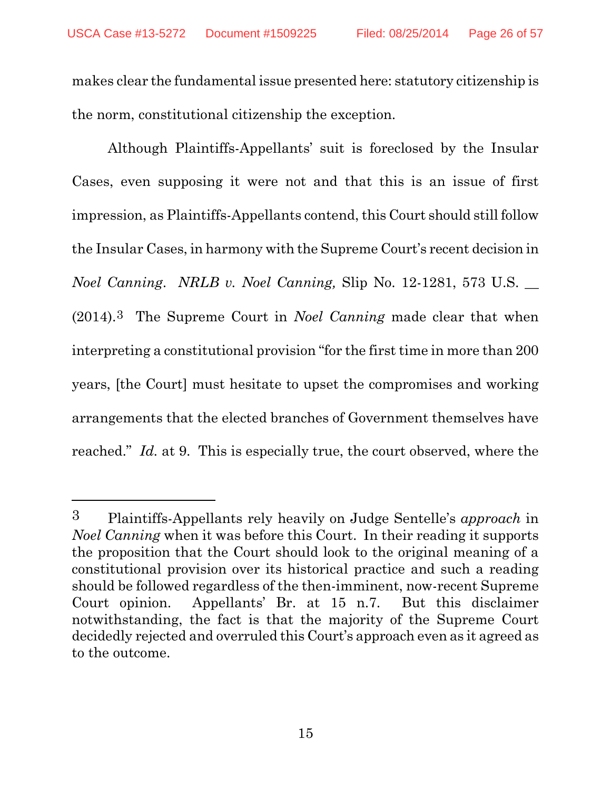makes clear the fundamental issue presented here: statutory citizenship is the norm, constitutional citizenship the exception.

Although Plaintiffs-Appellants' suit is foreclosed by the Insular Cases, even supposing it were not and that this is an issue of first impression, as Plaintiffs-Appellants contend, this Court should still follow the Insular Cases, in harmony with the Supreme Court's recent decision in *Noel Canning*. *NRLB v. Noel Canning,* Slip No. 12-1281, 573 U.S. \_\_ (2014).3 The Supreme Court in *Noel Canning* made clear that when interpreting a constitutional provision "for the first time in more than 200 years, [the Court] must hesitate to upset the compromises and working arrangements that the elected branches of Government themselves have reached." *Id.* at 9. This is especially true, the court observed, where the

l

<sup>3</sup> Plaintiffs-Appellants rely heavily on Judge Sentelle's *approach* in *Noel Canning* when it was before this Court. In their reading it supports the proposition that the Court should look to the original meaning of a constitutional provision over its historical practice and such a reading should be followed regardless of the then-imminent, now-recent Supreme Court opinion. Appellants' Br. at 15 n.7. But this disclaimer notwithstanding, the fact is that the majority of the Supreme Court decidedly rejected and overruled this Court's approach even as it agreed as to the outcome.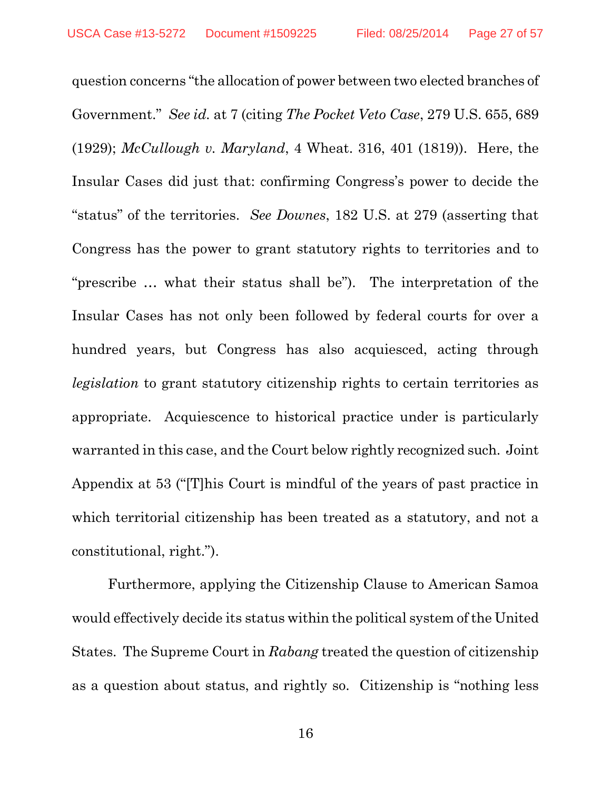question concerns "the allocation of power between two elected branches of Government." *See id.* at 7 (citing *The Pocket Veto Case*, 279 U.S. 655, 689 (1929); *McCullough v. Maryland*, 4 Wheat. 316, 401 (1819)). Here, the Insular Cases did just that: confirming Congress's power to decide the "status" of the territories. *See Downes*, 182 U.S. at 279 (asserting that Congress has the power to grant statutory rights to territories and to "prescribe … what their status shall be"). The interpretation of the Insular Cases has not only been followed by federal courts for over a hundred years, but Congress has also acquiesced, acting through *legislation* to grant statutory citizenship rights to certain territories as appropriate. Acquiescence to historical practice under is particularly warranted in this case, and the Court below rightly recognized such. Joint Appendix at 53 ("[T]his Court is mindful of the years of past practice in which territorial citizenship has been treated as a statutory, and not a constitutional, right.").

Furthermore, applying the Citizenship Clause to American Samoa would effectively decide its status within the political system of the United States. The Supreme Court in *Rabang* treated the question of citizenship as a question about status, and rightly so. Citizenship is "nothing less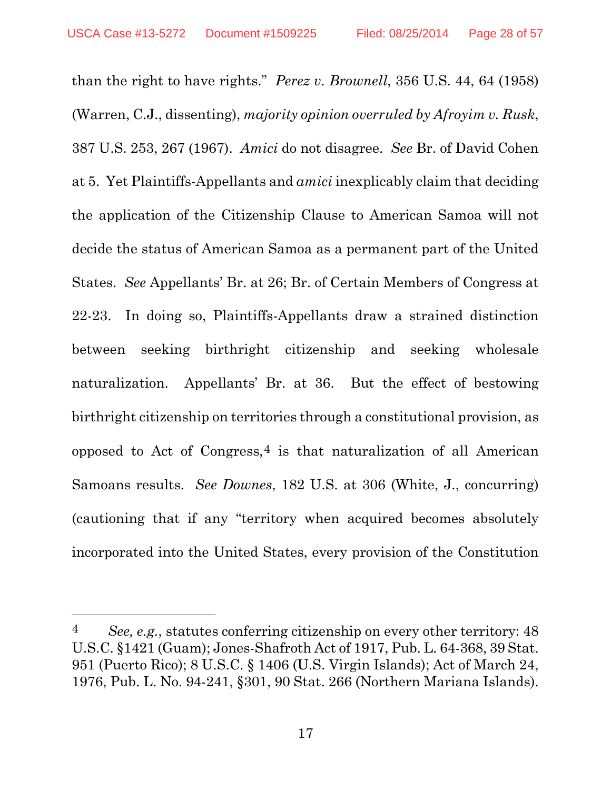$\overline{a}$ 

than the right to have rights." *Perez v. Brownell*, 356 U.S. 44, 64 (1958) (Warren, C.J., dissenting), *majority opinion overruled by Afroyim v. Rusk*, 387 U.S. 253, 267 (1967). *Amici* do not disagree. *See* Br. of David Cohen at 5. Yet Plaintiffs-Appellants and *amici* inexplicably claim that deciding the application of the Citizenship Clause to American Samoa will not decide the status of American Samoa as a permanent part of the United States. *See* Appellants' Br. at 26; Br. of Certain Members of Congress at 22-23. In doing so, Plaintiffs-Appellants draw a strained distinction between seeking birthright citizenship and seeking wholesale naturalization. Appellants' Br. at 36. But the effect of bestowing birthright citizenship on territories through a constitutional provision, as opposed to Act of Congress,  $4$  is that naturalization of all American Samoans results. *See Downes*, 182 U.S. at 306 (White, J., concurring) (cautioning that if any "territory when acquired becomes absolutely incorporated into the United States, every provision of the Constitution

<sup>4</sup> *See, e.g.*, statutes conferring citizenship on every other territory: 48 U.S.C. §1421 (Guam); Jones-Shafroth Act of 1917, Pub. L. 64-368, 39 Stat. 951 (Puerto Rico); 8 U.S.C. § 1406 (U.S. Virgin Islands); Act of March 24, 1976, Pub. L. No. 94-241, §301, 90 Stat. 266 (Northern Mariana Islands).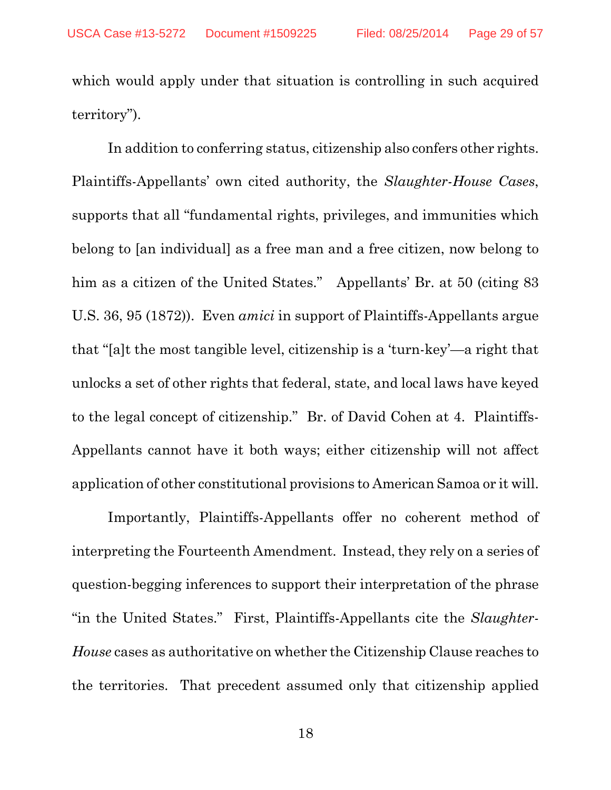which would apply under that situation is controlling in such acquired territory").

In addition to conferring status, citizenship also confers other rights. Plaintiffs-Appellants' own cited authority, the *Slaughter-House Cases*, supports that all "fundamental rights, privileges, and immunities which belong to [an individual] as a free man and a free citizen, now belong to him as a citizen of the United States." Appellants' Br. at 50 (citing 83) U.S. 36, 95 (1872)). Even *amici* in support of Plaintiffs-Appellants argue that "[a]t the most tangible level, citizenship is a 'turn-key'—a right that unlocks a set of other rights that federal, state, and local laws have keyed to the legal concept of citizenship." Br. of David Cohen at 4. Plaintiffs-Appellants cannot have it both ways; either citizenship will not affect application of other constitutional provisions to American Samoa or it will.

Importantly, Plaintiffs-Appellants offer no coherent method of interpreting the Fourteenth Amendment. Instead, they rely on a series of question-begging inferences to support their interpretation of the phrase "in the United States." First, Plaintiffs-Appellants cite the *Slaughter-House* cases as authoritative on whether the Citizenship Clause reaches to the territories. That precedent assumed only that citizenship applied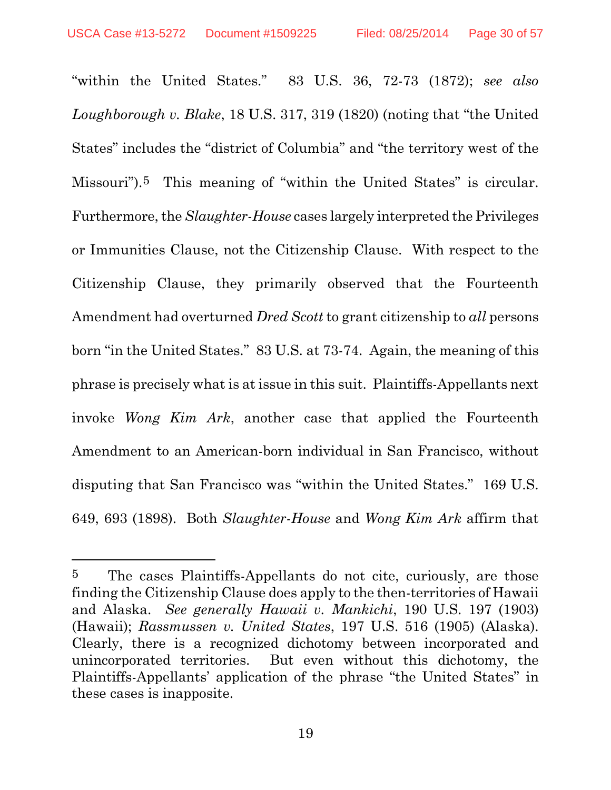l

"within the United States." 83 U.S. 36, 72-73 (1872); *see also Loughborough v. Blake*, 18 U.S. 317, 319 (1820) (noting that "the United States" includes the "district of Columbia" and "the territory west of the Missouri").5 This meaning of "within the United States" is circular. Furthermore, the *Slaughter-House* cases largely interpreted the Privileges or Immunities Clause, not the Citizenship Clause. With respect to the Citizenship Clause, they primarily observed that the Fourteenth Amendment had overturned *Dred Scott* to grant citizenship to *all* persons born "in the United States." 83 U.S. at 73-74. Again, the meaning of this phrase is precisely what is at issue in this suit. Plaintiffs-Appellants next invoke *Wong Kim Ark*, another case that applied the Fourteenth Amendment to an American-born individual in San Francisco, without disputing that San Francisco was "within the United States." 169 U.S. 649, 693 (1898). Both *Slaughter-House* and *Wong Kim Ark* affirm that

<sup>5</sup> The cases Plaintiffs-Appellants do not cite, curiously, are those finding the Citizenship Clause does apply to the then-territories of Hawaii and Alaska. *See generally Hawaii v. Mankichi*, 190 U.S. 197 (1903) (Hawaii); *Rassmussen v. United States*, 197 U.S. 516 (1905) (Alaska). Clearly, there is a recognized dichotomy between incorporated and unincorporated territories. But even without this dichotomy, the Plaintiffs-Appellants' application of the phrase "the United States" in these cases is inapposite.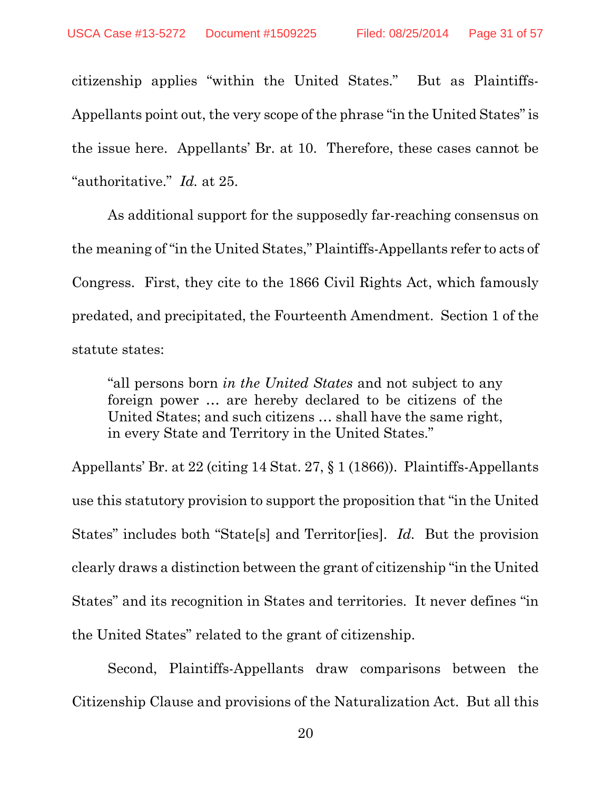citizenship applies "within the United States." But as Plaintiffs-Appellants point out, the very scope of the phrase "in the United States" is the issue here. Appellants' Br. at 10. Therefore, these cases cannot be "authoritative." *Id.* at 25.

As additional support for the supposedly far-reaching consensus on the meaning of "in the United States," Plaintiffs-Appellants refer to acts of Congress. First, they cite to the 1866 Civil Rights Act, which famously predated, and precipitated, the Fourteenth Amendment. Section 1 of the statute states:

"all persons born *in the United States* and not subject to any foreign power … are hereby declared to be citizens of the United States; and such citizens … shall have the same right, in every State and Territory in the United States."

Appellants' Br. at 22 (citing 14 Stat. 27, § 1 (1866)). Plaintiffs-Appellants use this statutory provision to support the proposition that "in the United States" includes both "State[s] and Territor[ies]. *Id.* But the provision clearly draws a distinction between the grant of citizenship "in the United States" and its recognition in States and territories. It never defines "in the United States" related to the grant of citizenship.

Second, Plaintiffs-Appellants draw comparisons between the Citizenship Clause and provisions of the Naturalization Act. But all this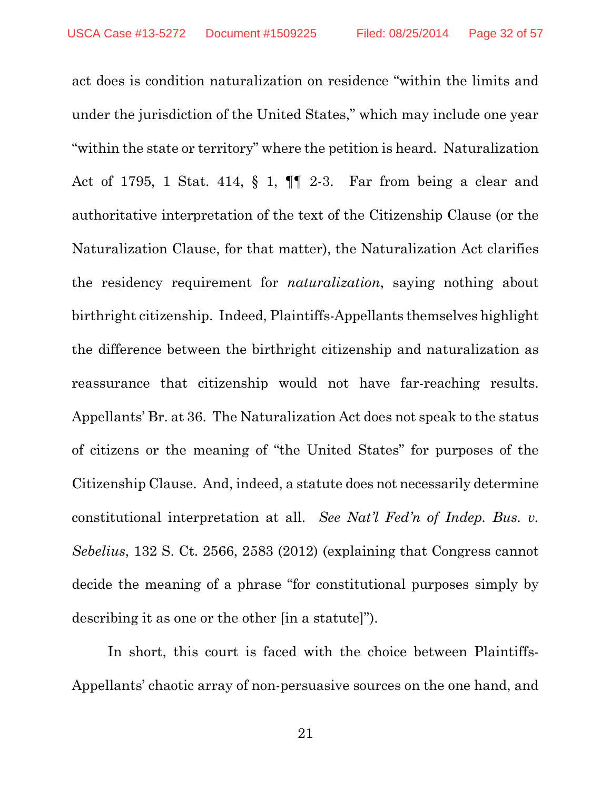act does is condition naturalization on residence "within the limits and under the jurisdiction of the United States," which may include one year "within the state or territory" where the petition is heard. Naturalization Act of 1795, 1 Stat. 414, § 1, ¶¶ 2-3. Far from being a clear and authoritative interpretation of the text of the Citizenship Clause (or the Naturalization Clause, for that matter), the Naturalization Act clarifies the residency requirement for *naturalization*, saying nothing about birthright citizenship. Indeed, Plaintiffs-Appellants themselves highlight the difference between the birthright citizenship and naturalization as reassurance that citizenship would not have far-reaching results. Appellants' Br. at 36. The Naturalization Act does not speak to the status of citizens or the meaning of "the United States" for purposes of the Citizenship Clause. And, indeed, a statute does not necessarily determine constitutional interpretation at all. *See Nat'l Fed'n of Indep. Bus. v. Sebelius*, 132 S. Ct. 2566, 2583 (2012) (explaining that Congress cannot decide the meaning of a phrase "for constitutional purposes simply by describing it as one or the other [in a statute]").

In short, this court is faced with the choice between Plaintiffs-Appellants' chaotic array of non-persuasive sources on the one hand, and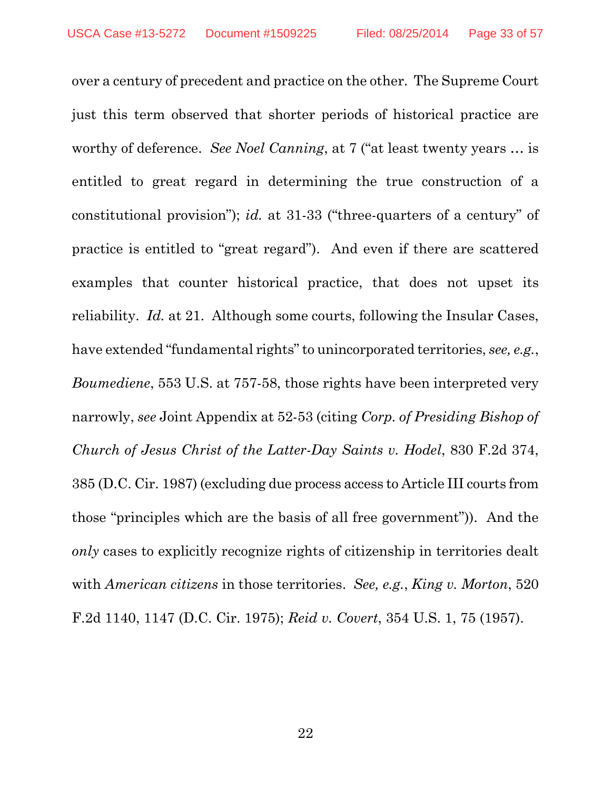over a century of precedent and practice on the other. The Supreme Court just this term observed that shorter periods of historical practice are worthy of deference. *See Noel Canning*, at 7 ("at least twenty years … is entitled to great regard in determining the true construction of a constitutional provision"); *id.* at 31-33 ("three-quarters of a century" of practice is entitled to "great regard"). And even if there are scattered examples that counter historical practice, that does not upset its reliability. *Id.* at 21. Although some courts, following the Insular Cases, have extended "fundamental rights" to unincorporated territories, *see, e.g.*, *Boumediene*, 553 U.S. at 757-58, those rights have been interpreted very narrowly, *see* Joint Appendix at 52-53 (citing *Corp. of Presiding Bishop of Church of Jesus Christ of the Latter-Day Saints v. Hodel*, 830 F.2d 374, 385 (D.C. Cir. 1987) (excluding due process access to Article III courts from those "principles which are the basis of all free government")). And the *only* cases to explicitly recognize rights of citizenship in territories dealt with *American citizens* in those territories. *See, e.g.*, *King v. Morton*, 520 F.2d 1140, 1147 (D.C. Cir. 1975); *Reid v. Covert*, 354 U.S. 1, 75 (1957).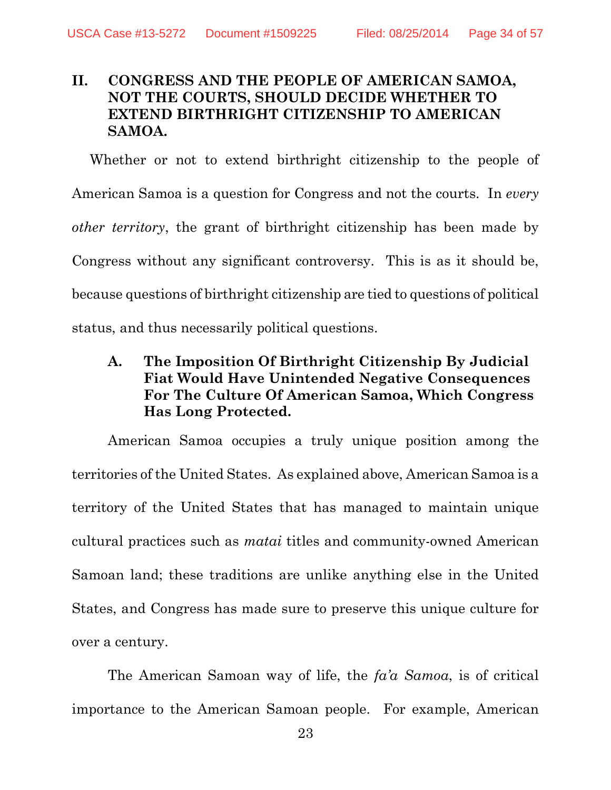## **II. CONGRESS AND THE PEOPLE OF AMERICAN SAMOA, NOT THE COURTS, SHOULD DECIDE WHETHER TO EXTEND BIRTHRIGHT CITIZENSHIP TO AMERICAN SAMOA.**

Whether or not to extend birthright citizenship to the people of American Samoa is a question for Congress and not the courts. In *every other territory*, the grant of birthright citizenship has been made by Congress without any significant controversy. This is as it should be, because questions of birthright citizenship are tied to questions of political status, and thus necessarily political questions.

## **A. The Imposition Of Birthright Citizenship By Judicial Fiat Would Have Unintended Negative Consequences For The Culture Of American Samoa, Which Congress Has Long Protected.**

American Samoa occupies a truly unique position among the territories of the United States. As explained above, American Samoa is a territory of the United States that has managed to maintain unique cultural practices such as *matai* titles and community-owned American Samoan land; these traditions are unlike anything else in the United States, and Congress has made sure to preserve this unique culture for over a century.

The American Samoan way of life, the *fa'a Samoa*, is of critical importance to the American Samoan people. For example, American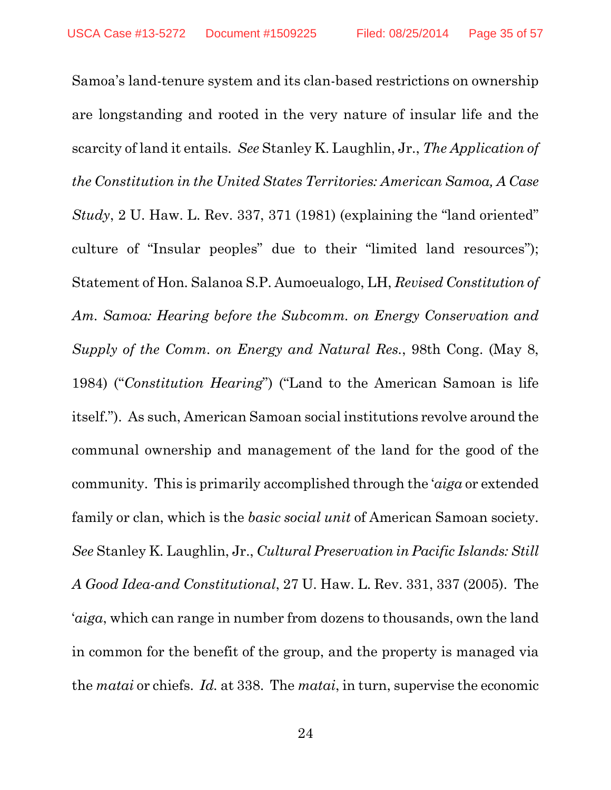Samoa's land-tenure system and its clan-based restrictions on ownership are longstanding and rooted in the very nature of insular life and the scarcity of land it entails. *See* Stanley K. Laughlin, Jr., *The Application of the Constitution in the United States Territories: American Samoa, A Case Study*, 2 U. Haw. L. Rev. 337, 371 (1981) (explaining the "land oriented" culture of "Insular peoples" due to their "limited land resources"); Statement of Hon. Salanoa S.P. Aumoeualogo, LH, *Revised Constitution of Am. Samoa: Hearing before the Subcomm. on Energy Conservation and Supply of the Comm. on Energy and Natural Res.*, 98th Cong. (May 8, 1984) ("*Constitution Hearing*") ("Land to the American Samoan is life itself."). As such, American Samoan social institutions revolve around the communal ownership and management of the land for the good of the community. This is primarily accomplished through the '*aiga* or extended family or clan, which is the *basic social unit* of American Samoan society. *See* Stanley K. Laughlin, Jr., *Cultural Preservation in Pacific Islands: Still A Good Idea-and Constitutional*, 27 U. Haw. L. Rev. 331, 337 (2005). The '*aiga*, which can range in number from dozens to thousands, own the land in common for the benefit of the group, and the property is managed via the *matai* or chiefs. *Id.* at 338. The *matai*, in turn, supervise the economic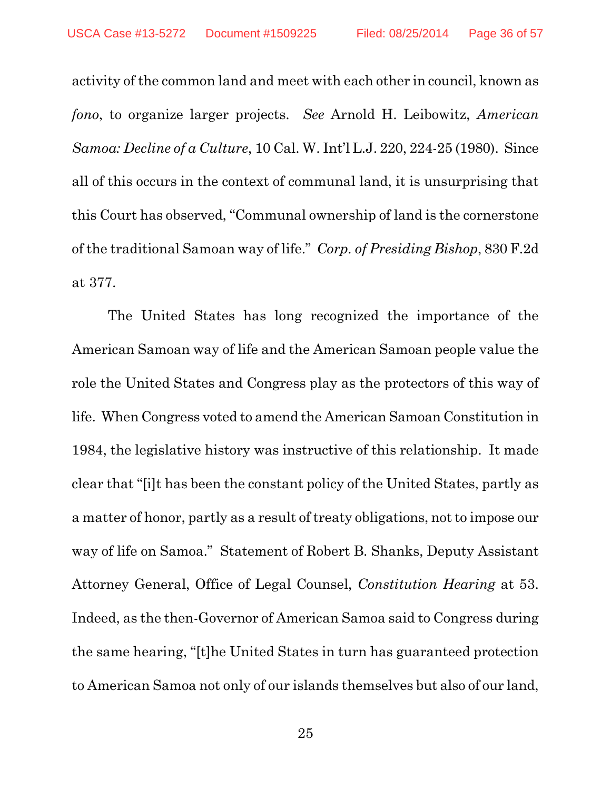activity of the common land and meet with each other in council, known as *fono*, to organize larger projects. *See* Arnold H. Leibowitz, *American Samoa: Decline of a Culture*, 10 Cal. W. Int'l L.J. 220, 224-25 (1980). Since all of this occurs in the context of communal land, it is unsurprising that this Court has observed, "Communal ownership of land is the cornerstone of the traditional Samoan way of life." *Corp. of Presiding Bishop*, 830 F.2d at 377.

The United States has long recognized the importance of the American Samoan way of life and the American Samoan people value the role the United States and Congress play as the protectors of this way of life. When Congress voted to amend the American Samoan Constitution in 1984, the legislative history was instructive of this relationship. It made clear that "[i]t has been the constant policy of the United States, partly as a matter of honor, partly as a result of treaty obligations, not to impose our way of life on Samoa." Statement of Robert B. Shanks, Deputy Assistant Attorney General, Office of Legal Counsel, *Constitution Hearing* at 53. Indeed, as the then-Governor of American Samoa said to Congress during the same hearing, "[t]he United States in turn has guaranteed protection to American Samoa not only of our islands themselves but also of our land,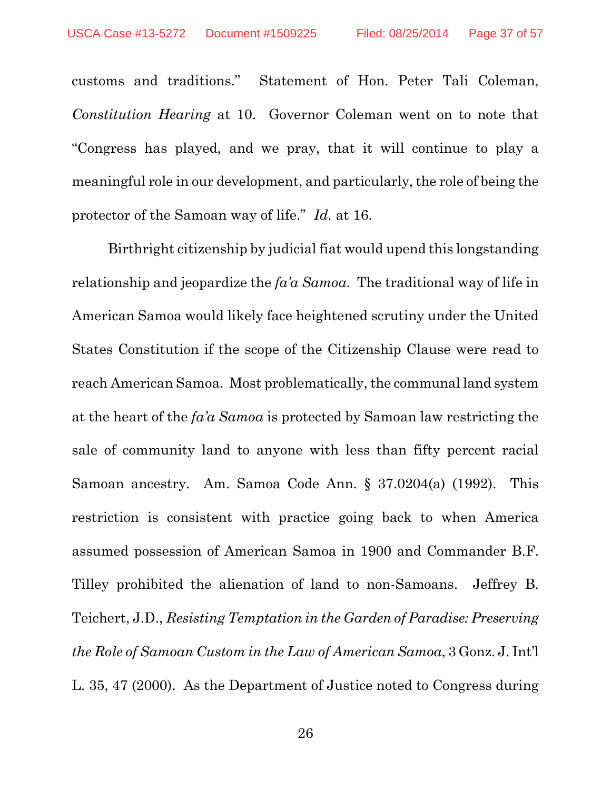customs and traditions." Statement of Hon. Peter Tali Coleman, *Constitution Hearing* at 10. Governor Coleman went on to note that "Congress has played, and we pray, that it will continue to play a meaningful role in our development, and particularly, the role of being the protector of the Samoan way of life." *Id.* at 16.

Birthright citizenship by judicial fiat would upend this longstanding relationship and jeopardize the *fa'a Samoa*. The traditional way of life in American Samoa would likely face heightened scrutiny under the United States Constitution if the scope of the Citizenship Clause were read to reach American Samoa. Most problematically, the communal land system at the heart of the *fa'a Samoa* is protected by Samoan law restricting the sale of community land to anyone with less than fifty percent racial Samoan ancestry. Am. Samoa Code Ann. § 37.0204(a) (1992). This restriction is consistent with practice going back to when America assumed possession of American Samoa in 1900 and Commander B.F. Tilley prohibited the alienation of land to non-Samoans. Jeffrey B. Teichert, J.D., *Resisting Temptation in the Garden of Paradise: Preserving the Role of Samoan Custom in the Law of American Samoa*, 3 Gonz. J. Int'l L. 35, 47 (2000). As the Department of Justice noted to Congress during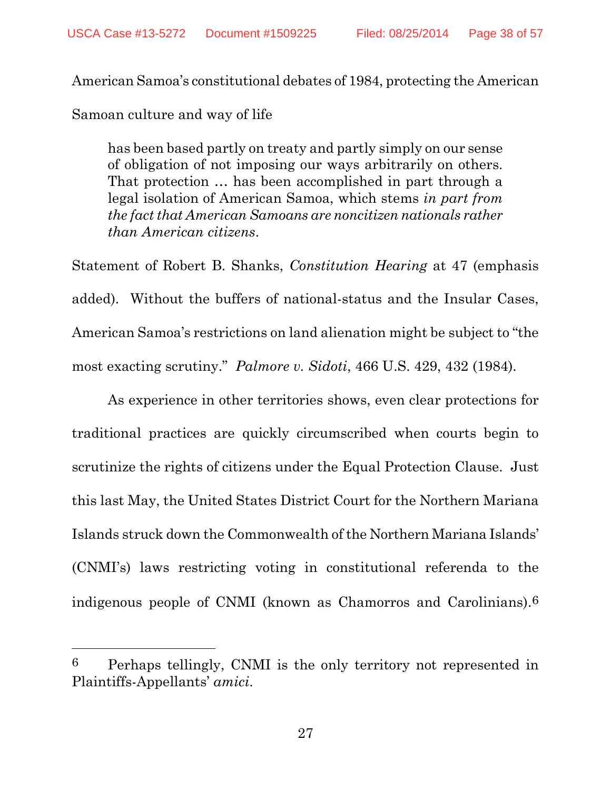American Samoa's constitutional debates of 1984, protecting the American

Samoan culture and way of life

 $\overline{a}$ 

has been based partly on treaty and partly simply on our sense of obligation of not imposing our ways arbitrarily on others. That protection … has been accomplished in part through a legal isolation of American Samoa, which stems *in part from the fact that American Samoans are noncitizen nationals rather than American citizens*.

Statement of Robert B. Shanks, *Constitution Hearing* at 47 (emphasis added). Without the buffers of national-status and the Insular Cases, American Samoa's restrictions on land alienation might be subject to "the most exacting scrutiny." *Palmore v. Sidoti*, 466 U.S. 429, 432 (1984).

As experience in other territories shows, even clear protections for traditional practices are quickly circumscribed when courts begin to scrutinize the rights of citizens under the Equal Protection Clause. Just this last May, the United States District Court for the Northern Mariana Islands struck down the Commonwealth of the Northern Mariana Islands' (CNMI's) laws restricting voting in constitutional referenda to the indigenous people of CNMI (known as Chamorros and Carolinians).6

<sup>6</sup> Perhaps tellingly, CNMI is the only territory not represented in Plaintiffs-Appellants' *amici*.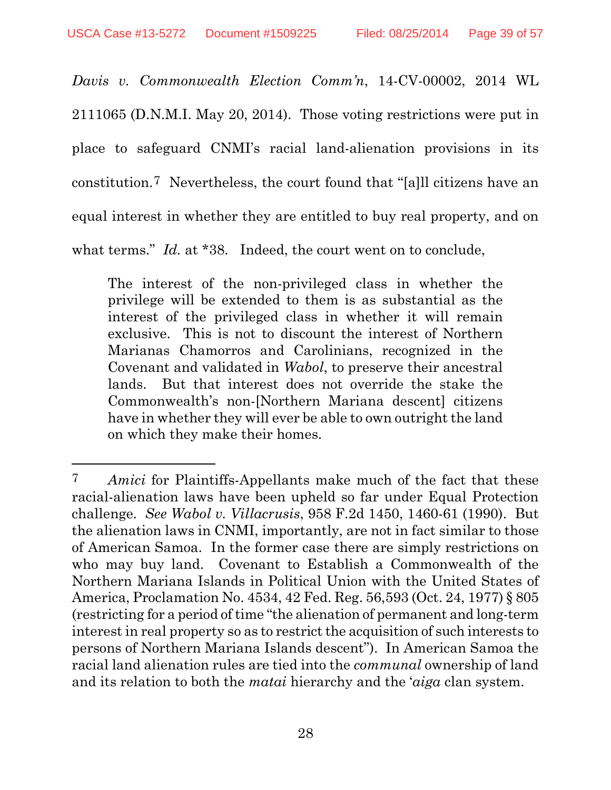$\overline{a}$ 

*Davis v. Commonwealth Election Comm'n*, 14-CV-00002, 2014 WL 2111065 (D.N.M.I. May 20, 2014). Those voting restrictions were put in place to safeguard CNMI's racial land-alienation provisions in its constitution.7 Nevertheless, the court found that "[a]ll citizens have an equal interest in whether they are entitled to buy real property, and on what terms." *Id.* at \*38. Indeed, the court went on to conclude,

The interest of the non-privileged class in whether the privilege will be extended to them is as substantial as the interest of the privileged class in whether it will remain exclusive. This is not to discount the interest of Northern Marianas Chamorros and Carolinians, recognized in the Covenant and validated in *Wabol*, to preserve their ancestral lands. But that interest does not override the stake the Commonwealth's non-[Northern Mariana descent] citizens have in whether they will ever be able to own outright the land on which they make their homes.

<sup>7</sup> *Amici* for Plaintiffs-Appellants make much of the fact that these racial-alienation laws have been upheld so far under Equal Protection challenge. *See Wabol v. Villacrusis*, 958 F.2d 1450, 1460-61 (1990). But the alienation laws in CNMI, importantly, are not in fact similar to those of American Samoa. In the former case there are simply restrictions on who may buy land. Covenant to Establish a Commonwealth of the Northern Mariana Islands in Political Union with the United States of America, Proclamation No. 4534, 42 Fed. Reg. 56,593 (Oct. 24, 1977) § 805 (restricting for a period of time "the alienation of permanent and long-term interest in real property so as to restrict the acquisition of such interests to persons of Northern Mariana Islands descent"). In American Samoa the racial land alienation rules are tied into the *communal* ownership of land and its relation to both the *matai* hierarchy and the '*aiga* clan system.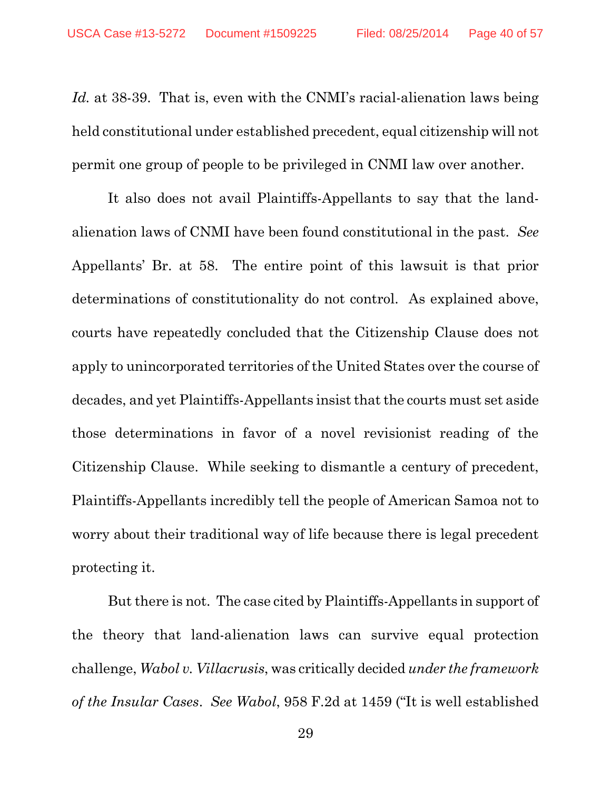*Id.* at 38-39. That is, even with the CNMI's racial-alienation laws being held constitutional under established precedent, equal citizenship will not permit one group of people to be privileged in CNMI law over another.

It also does not avail Plaintiffs-Appellants to say that the landalienation laws of CNMI have been found constitutional in the past. *See* Appellants' Br. at 58. The entire point of this lawsuit is that prior determinations of constitutionality do not control. As explained above, courts have repeatedly concluded that the Citizenship Clause does not apply to unincorporated territories of the United States over the course of decades, and yet Plaintiffs-Appellants insist that the courts must set aside those determinations in favor of a novel revisionist reading of the Citizenship Clause. While seeking to dismantle a century of precedent, Plaintiffs-Appellants incredibly tell the people of American Samoa not to worry about their traditional way of life because there is legal precedent protecting it.

But there is not. The case cited by Plaintiffs-Appellants in support of the theory that land-alienation laws can survive equal protection challenge, *Wabol v. Villacrusis*, was critically decided *under the framework of the Insular Cases*. *See Wabol*, 958 F.2d at 1459 ("It is well established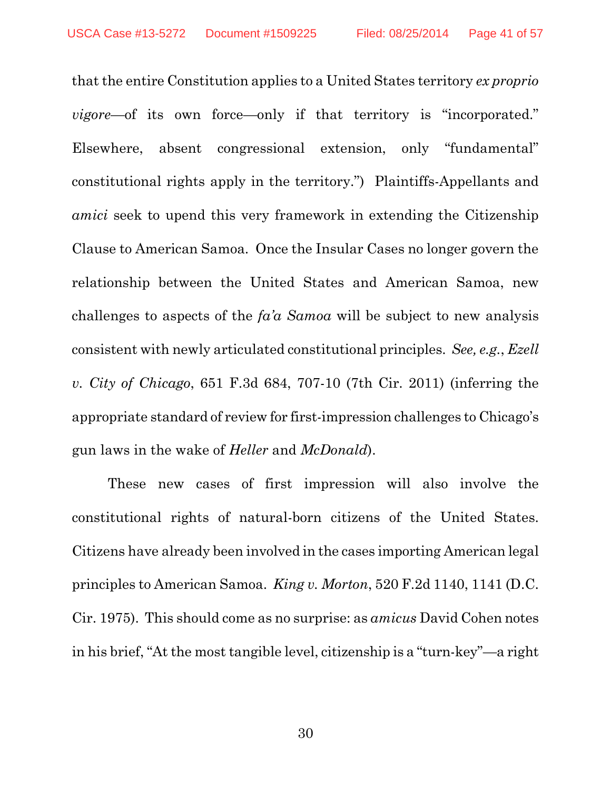that the entire Constitution applies to a United States territory *ex proprio vigore*—of its own force—only if that territory is "incorporated." Elsewhere, absent congressional extension, only "fundamental" constitutional rights apply in the territory.") Plaintiffs-Appellants and *amici* seek to upend this very framework in extending the Citizenship Clause to American Samoa. Once the Insular Cases no longer govern the relationship between the United States and American Samoa, new challenges to aspects of the *fa'a Samoa* will be subject to new analysis consistent with newly articulated constitutional principles. *See, e.g.*, *Ezell v. City of Chicago*, 651 F.3d 684, 707-10 (7th Cir. 2011) (inferring the appropriate standard of review for first-impression challenges to Chicago's gun laws in the wake of *Heller* and *McDonald*).

These new cases of first impression will also involve the constitutional rights of natural-born citizens of the United States. Citizens have already been involved in the cases importing American legal principles to American Samoa. *King v. Morton*, 520 F.2d 1140, 1141 (D.C. Cir. 1975). This should come as no surprise: as *amicus* David Cohen notes in his brief, "At the most tangible level, citizenship is a "turn-key"—a right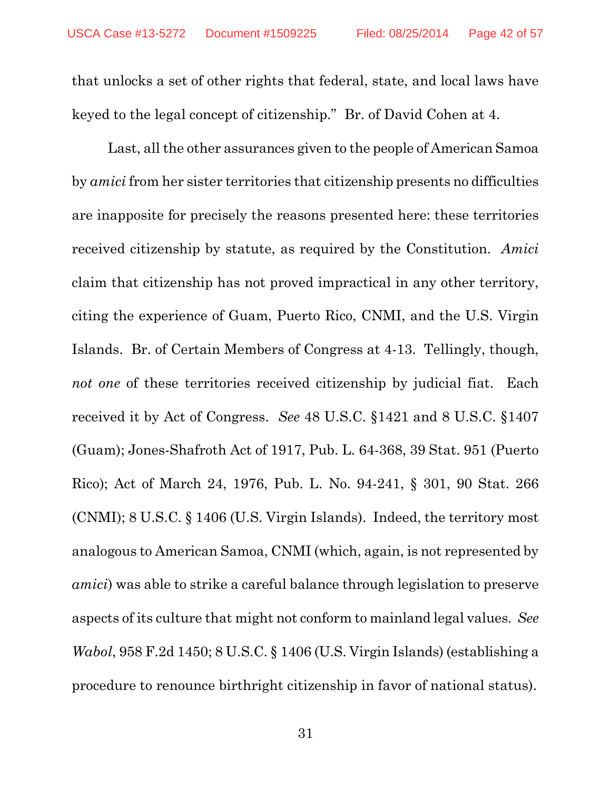that unlocks a set of other rights that federal, state, and local laws have keyed to the legal concept of citizenship." Br. of David Cohen at 4.

Last, all the other assurances given to the people of American Samoa by *amici* from her sister territories that citizenship presents no difficulties are inapposite for precisely the reasons presented here: these territories received citizenship by statute, as required by the Constitution. *Amici* claim that citizenship has not proved impractical in any other territory, citing the experience of Guam, Puerto Rico, CNMI, and the U.S. Virgin Islands. Br. of Certain Members of Congress at 4-13. Tellingly, though, *not one* of these territories received citizenship by judicial fiat. Each received it by Act of Congress. *See* 48 U.S.C. §1421 and 8 U.S.C. §1407 (Guam); Jones-Shafroth Act of 1917, Pub. L. 64-368, 39 Stat. 951 (Puerto Rico); Act of March 24, 1976, Pub. L. No. 94-241, § 301, 90 Stat. 266 (CNMI); 8 U.S.C. § 1406 (U.S. Virgin Islands). Indeed, the territory most analogous to American Samoa, CNMI (which, again, is not represented by *amici*) was able to strike a careful balance through legislation to preserve aspects of its culture that might not conform to mainland legal values. *See Wabol*, 958 F.2d 1450; 8 U.S.C. § 1406 (U.S. Virgin Islands) (establishing a procedure to renounce birthright citizenship in favor of national status).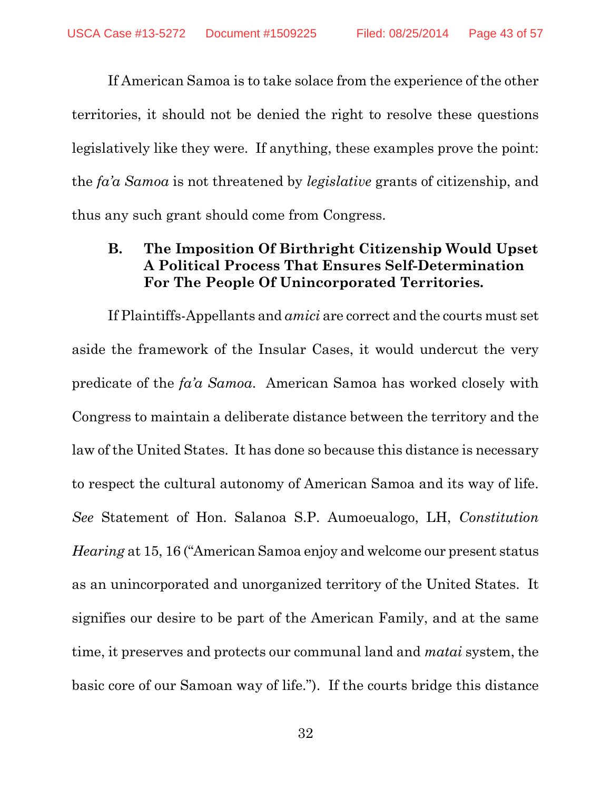If American Samoa is to take solace from the experience of the other territories, it should not be denied the right to resolve these questions legislatively like they were. If anything, these examples prove the point: the *fa'a Samoa* is not threatened by *legislative* grants of citizenship, and thus any such grant should come from Congress.

## **B. The Imposition Of Birthright Citizenship Would Upset A Political Process That Ensures Self-Determination For The People Of Unincorporated Territories.**

If Plaintiffs-Appellants and *amici* are correct and the courts must set aside the framework of the Insular Cases, it would undercut the very predicate of the *fa'a Samoa*. American Samoa has worked closely with Congress to maintain a deliberate distance between the territory and the law of the United States. It has done so because this distance is necessary to respect the cultural autonomy of American Samoa and its way of life. *See* Statement of Hon. Salanoa S.P. Aumoeualogo, LH, *Constitution Hearing* at 15, 16 ("American Samoa enjoy and welcome our present status as an unincorporated and unorganized territory of the United States. It signifies our desire to be part of the American Family, and at the same time, it preserves and protects our communal land and *matai* system, the basic core of our Samoan way of life."). If the courts bridge this distance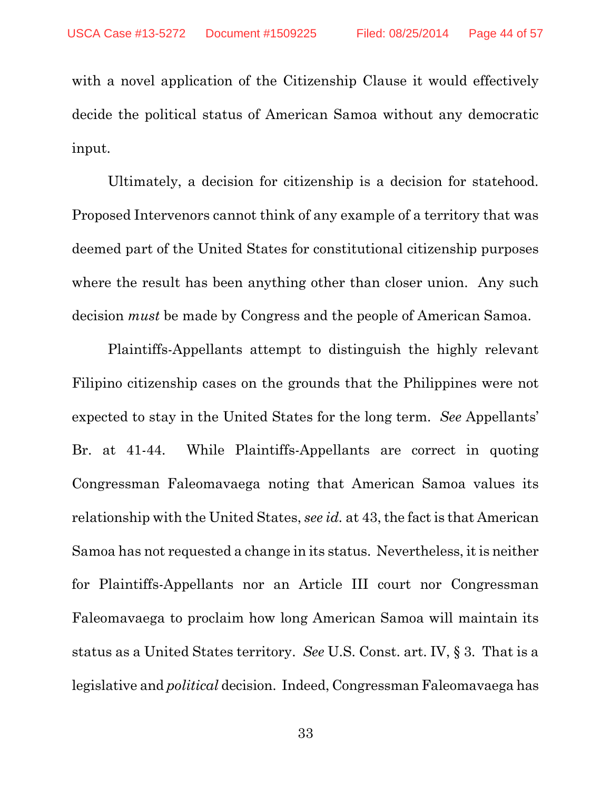with a novel application of the Citizenship Clause it would effectively decide the political status of American Samoa without any democratic input.

Ultimately, a decision for citizenship is a decision for statehood. Proposed Intervenors cannot think of any example of a territory that was deemed part of the United States for constitutional citizenship purposes where the result has been anything other than closer union. Any such decision *must* be made by Congress and the people of American Samoa.

Plaintiffs-Appellants attempt to distinguish the highly relevant Filipino citizenship cases on the grounds that the Philippines were not expected to stay in the United States for the long term. *See* Appellants' Br. at 41-44. While Plaintiffs-Appellants are correct in quoting Congressman Faleomavaega noting that American Samoa values its relationship with the United States, *see id.* at 43, the fact is that American Samoa has not requested a change in its status. Nevertheless, it is neither for Plaintiffs-Appellants nor an Article III court nor Congressman Faleomavaega to proclaim how long American Samoa will maintain its status as a United States territory. *See* U.S. Const. art. IV, § 3. That is a legislative and *political* decision. Indeed, Congressman Faleomavaega has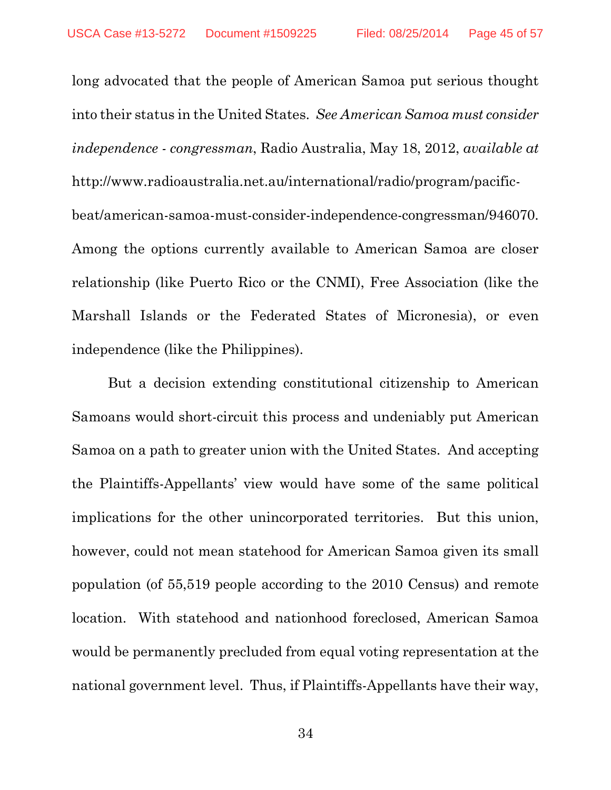long advocated that the people of American Samoa put serious thought into their status in the United States. *See American Samoa must consider independence - congressman*, Radio Australia, May 18, 2012, *available at* http://www.radioaustralia.net.au/international/radio/program/pacificbeat/american-samoa-must-consider-independence-congressman/946070. Among the options currently available to American Samoa are closer relationship (like Puerto Rico or the CNMI), Free Association (like the Marshall Islands or the Federated States of Micronesia), or even independence (like the Philippines).

But a decision extending constitutional citizenship to American Samoans would short-circuit this process and undeniably put American Samoa on a path to greater union with the United States. And accepting the Plaintiffs-Appellants' view would have some of the same political implications for the other unincorporated territories. But this union, however, could not mean statehood for American Samoa given its small population (of 55,519 people according to the 2010 Census) and remote location. With statehood and nationhood foreclosed, American Samoa would be permanently precluded from equal voting representation at the national government level. Thus, if Plaintiffs-Appellants have their way,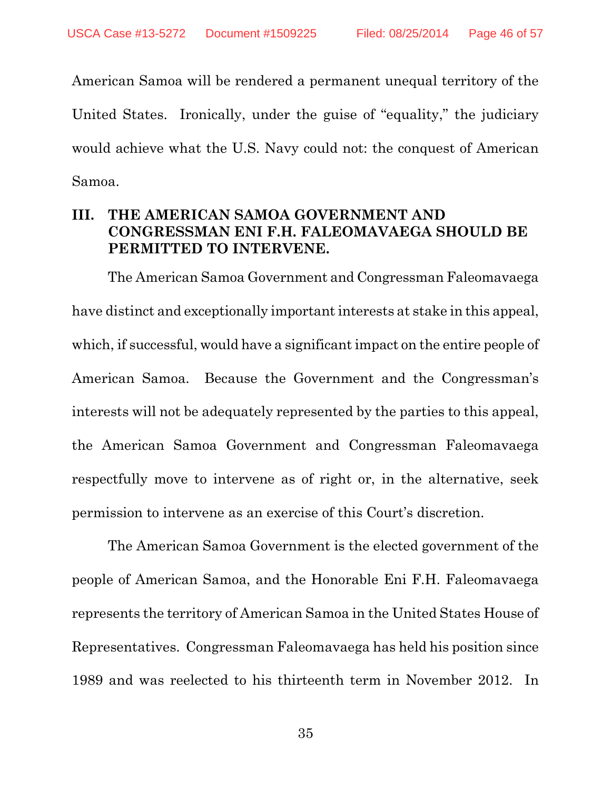American Samoa will be rendered a permanent unequal territory of the United States. Ironically, under the guise of "equality," the judiciary would achieve what the U.S. Navy could not: the conquest of American Samoa.

## **III. THE AMERICAN SAMOA GOVERNMENT AND CONGRESSMAN ENI F.H. FALEOMAVAEGA SHOULD BE PERMITTED TO INTERVENE.**

The American Samoa Government and Congressman Faleomavaega have distinct and exceptionally important interests at stake in this appeal, which, if successful, would have a significant impact on the entire people of American Samoa. Because the Government and the Congressman's interests will not be adequately represented by the parties to this appeal, the American Samoa Government and Congressman Faleomavaega respectfully move to intervene as of right or, in the alternative, seek permission to intervene as an exercise of this Court's discretion.

The American Samoa Government is the elected government of the people of American Samoa, and the Honorable Eni F.H. Faleomavaega represents the territory of American Samoa in the United States House of Representatives. Congressman Faleomavaega has held his position since 1989 and was reelected to his thirteenth term in November 2012. In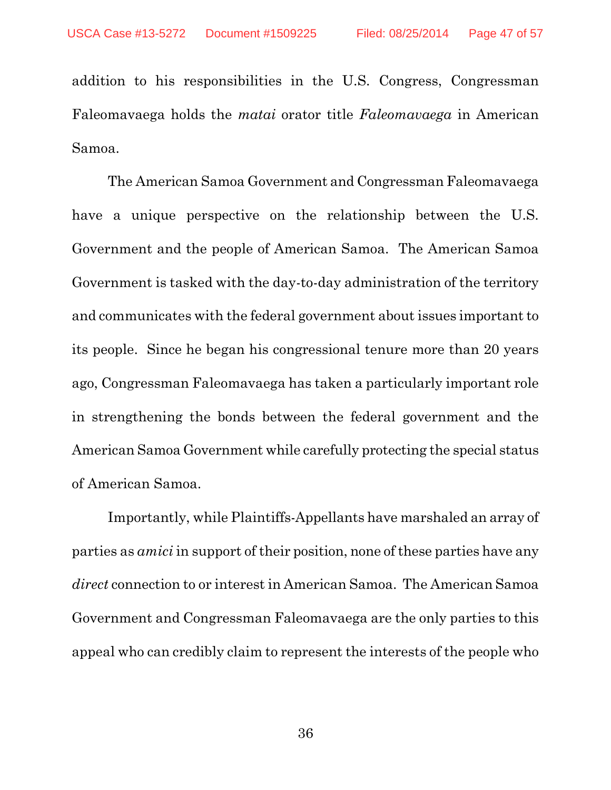addition to his responsibilities in the U.S. Congress, Congressman Faleomavaega holds the *matai* orator title *Faleomavaega* in American Samoa.

The American Samoa Government and Congressman Faleomavaega have a unique perspective on the relationship between the U.S. Government and the people of American Samoa. The American Samoa Government is tasked with the day-to-day administration of the territory and communicates with the federal government about issues important to its people. Since he began his congressional tenure more than 20 years ago, Congressman Faleomavaega has taken a particularly important role in strengthening the bonds between the federal government and the American Samoa Government while carefully protecting the special status of American Samoa.

Importantly, while Plaintiffs-Appellants have marshaled an array of parties as *amici* in support of their position, none of these parties have any *direct* connection to or interest in American Samoa. The American Samoa Government and Congressman Faleomavaega are the only parties to this appeal who can credibly claim to represent the interests of the people who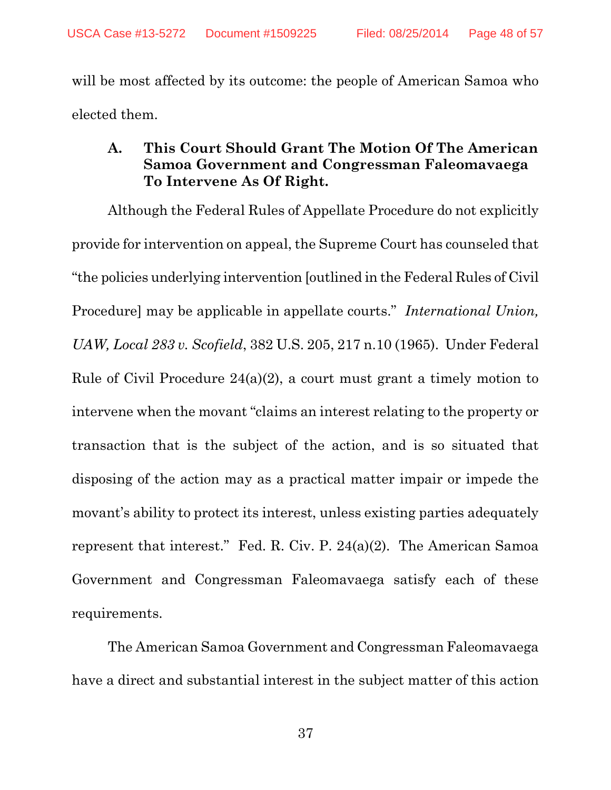will be most affected by its outcome: the people of American Samoa who elected them.

## **A. This Court Should Grant The Motion Of The American Samoa Government and Congressman Faleomavaega To Intervene As Of Right.**

Although the Federal Rules of Appellate Procedure do not explicitly provide for intervention on appeal, the Supreme Court has counseled that "the policies underlying intervention [outlined in the Federal Rules of Civil Procedure] may be applicable in appellate courts." *International Union, UAW, Local 283 v. Scofield*, 382 U.S. 205, 217 n.10 (1965). Under Federal Rule of Civil Procedure 24(a)(2), a court must grant a timely motion to intervene when the movant "claims an interest relating to the property or transaction that is the subject of the action, and is so situated that disposing of the action may as a practical matter impair or impede the movant's ability to protect its interest, unless existing parties adequately represent that interest." Fed. R. Civ. P. 24(a)(2). The American Samoa Government and Congressman Faleomavaega satisfy each of these requirements.

The American Samoa Government and Congressman Faleomavaega have a direct and substantial interest in the subject matter of this action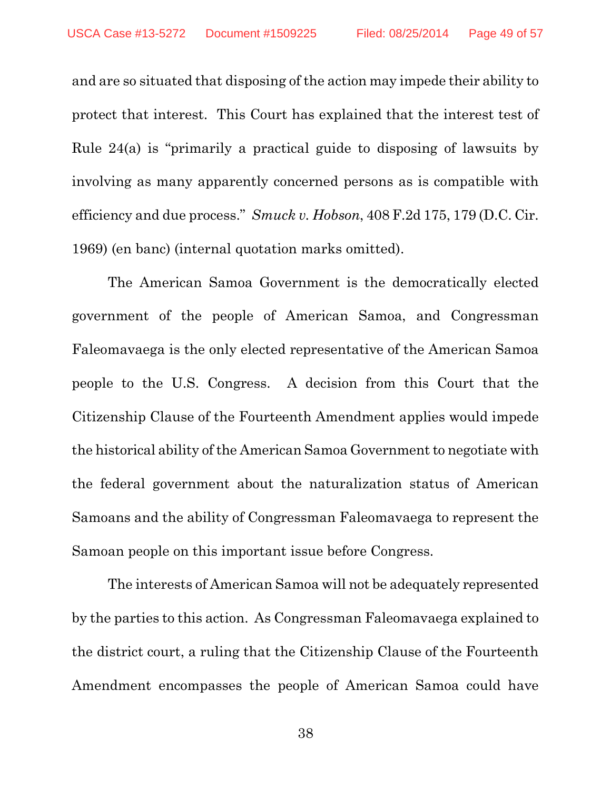and are so situated that disposing of the action may impede their ability to protect that interest. This Court has explained that the interest test of Rule 24(a) is "primarily a practical guide to disposing of lawsuits by involving as many apparently concerned persons as is compatible with efficiency and due process." *Smuck v. Hobson*, 408 F.2d 175, 179 (D.C. Cir. 1969) (en banc) (internal quotation marks omitted).

The American Samoa Government is the democratically elected government of the people of American Samoa, and Congressman Faleomavaega is the only elected representative of the American Samoa people to the U.S. Congress. A decision from this Court that the Citizenship Clause of the Fourteenth Amendment applies would impede the historical ability of the American Samoa Government to negotiate with the federal government about the naturalization status of American Samoans and the ability of Congressman Faleomavaega to represent the Samoan people on this important issue before Congress.

The interests of American Samoa will not be adequately represented by the parties to this action. As Congressman Faleomavaega explained to the district court, a ruling that the Citizenship Clause of the Fourteenth Amendment encompasses the people of American Samoa could have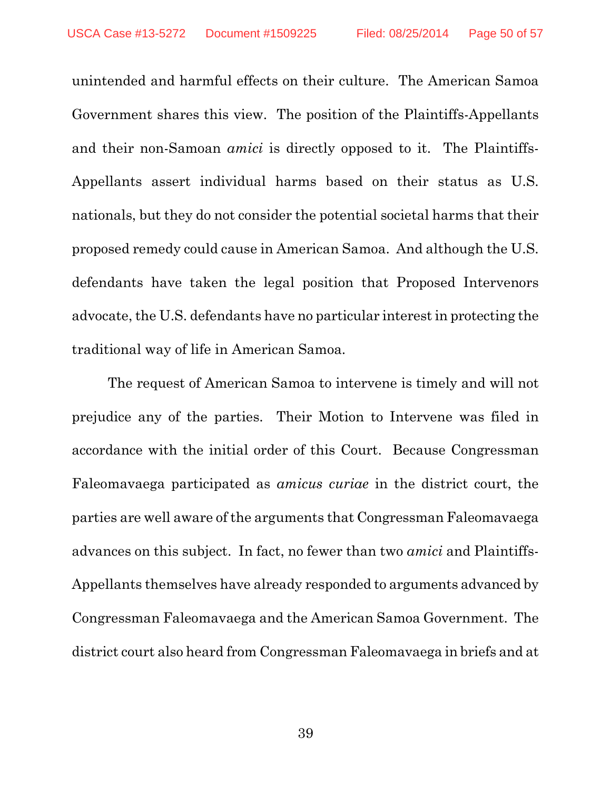unintended and harmful effects on their culture. The American Samoa Government shares this view. The position of the Plaintiffs-Appellants and their non-Samoan *amici* is directly opposed to it. The Plaintiffs-Appellants assert individual harms based on their status as U.S. nationals, but they do not consider the potential societal harms that their proposed remedy could cause in American Samoa. And although the U.S. defendants have taken the legal position that Proposed Intervenors advocate, the U.S. defendants have no particular interest in protecting the traditional way of life in American Samoa.

The request of American Samoa to intervene is timely and will not prejudice any of the parties. Their Motion to Intervene was filed in accordance with the initial order of this Court. Because Congressman Faleomavaega participated as *amicus curiae* in the district court, the parties are well aware of the arguments that Congressman Faleomavaega advances on this subject. In fact, no fewer than two *amici* and Plaintiffs-Appellants themselves have already responded to arguments advanced by Congressman Faleomavaega and the American Samoa Government. The district court also heard from Congressman Faleomavaega in briefs and at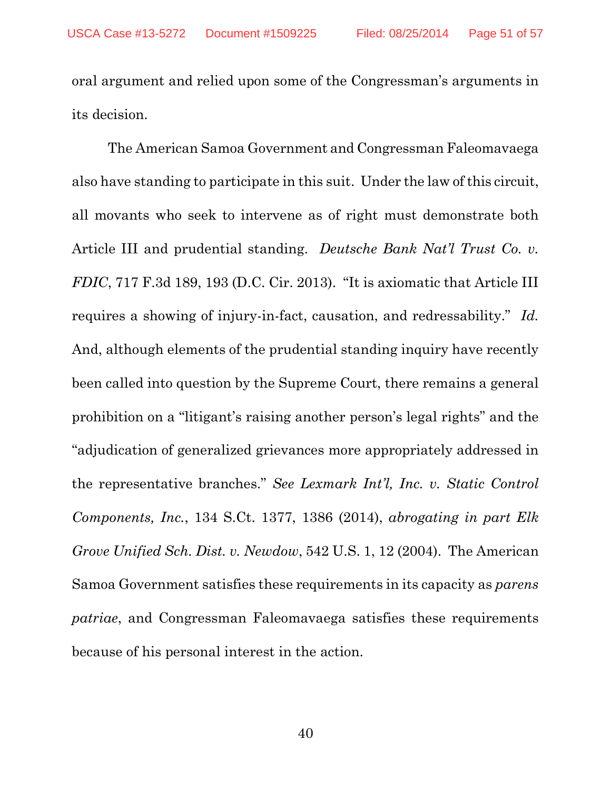oral argument and relied upon some of the Congressman's arguments in its decision.

The American Samoa Government and Congressman Faleomavaega also have standing to participate in this suit. Under the law of this circuit, all movants who seek to intervene as of right must demonstrate both Article III and prudential standing. *Deutsche Bank Nat'l Trust Co. v. FDIC*, 717 F.3d 189, 193 (D.C. Cir. 2013). "It is axiomatic that Article III requires a showing of injury-in-fact, causation, and redressability." *Id.* And, although elements of the prudential standing inquiry have recently been called into question by the Supreme Court, there remains a general prohibition on a "litigant's raising another person's legal rights" and the "adjudication of generalized grievances more appropriately addressed in the representative branches." *See Lexmark Int'l, Inc. v. Static Control Components, Inc.*, 134 S.Ct. 1377, 1386 (2014), *abrogating in part Elk Grove Unified Sch. Dist. v. Newdow*, 542 U.S. 1, 12 (2004). The American Samoa Government satisfies these requirements in its capacity as *parens patriae*, and Congressman Faleomavaega satisfies these requirements because of his personal interest in the action.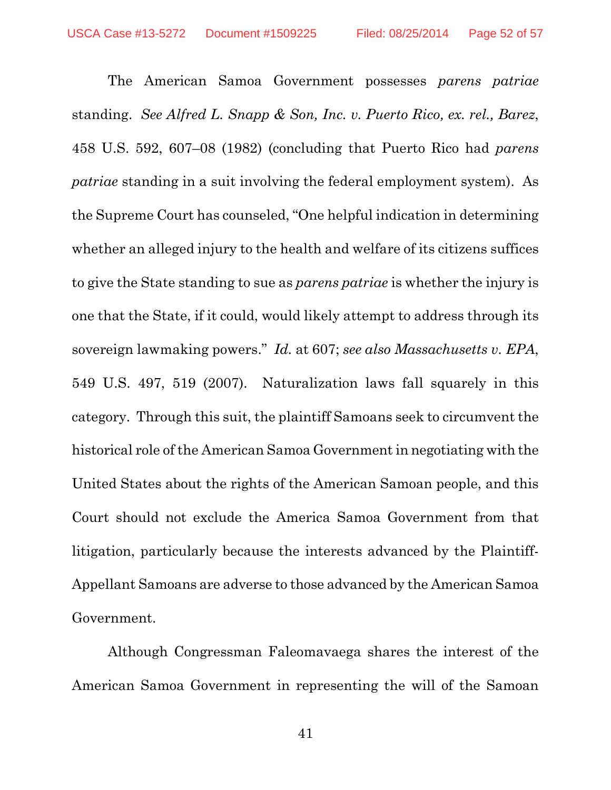The American Samoa Government possesses *parens patriae* standing. *See Alfred L. Snapp & Son, Inc. v. Puerto Rico, ex. rel., Barez*, 458 U.S. 592, 607–08 (1982) (concluding that Puerto Rico had *parens patriae* standing in a suit involving the federal employment system). As the Supreme Court has counseled, "One helpful indication in determining whether an alleged injury to the health and welfare of its citizens suffices to give the State standing to sue as *parens patriae* is whether the injury is one that the State, if it could, would likely attempt to address through its sovereign lawmaking powers." *Id.* at 607; *see also Massachusetts v. EPA*, 549 U.S. 497, 519 (2007). Naturalization laws fall squarely in this category. Through this suit, the plaintiff Samoans seek to circumvent the historical role of the American Samoa Government in negotiating with the United States about the rights of the American Samoan people, and this Court should not exclude the America Samoa Government from that litigation, particularly because the interests advanced by the Plaintiff-Appellant Samoans are adverse to those advanced by the American Samoa Government.

Although Congressman Faleomavaega shares the interest of the American Samoa Government in representing the will of the Samoan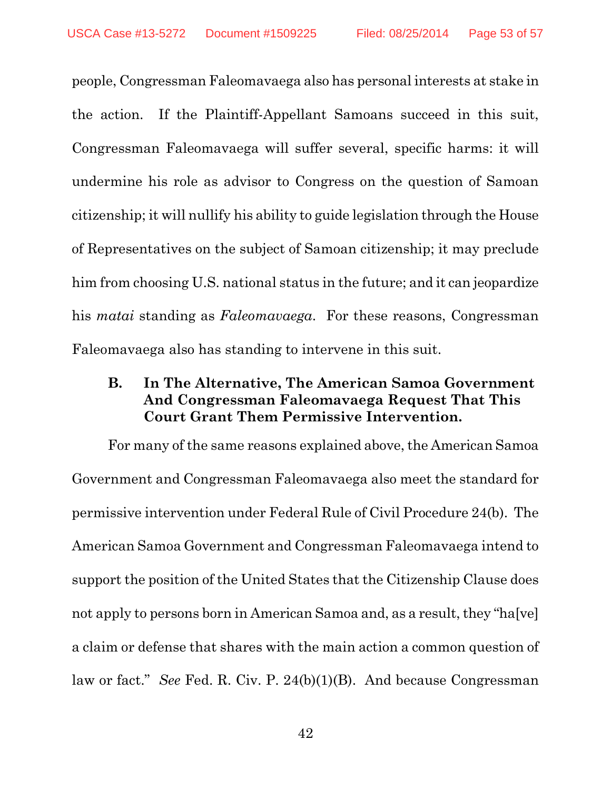people, Congressman Faleomavaega also has personal interests at stake in the action. If the Plaintiff-Appellant Samoans succeed in this suit, Congressman Faleomavaega will suffer several, specific harms: it will undermine his role as advisor to Congress on the question of Samoan citizenship; it will nullify his ability to guide legislation through the House of Representatives on the subject of Samoan citizenship; it may preclude him from choosing U.S. national status in the future; and it can jeopardize his *matai* standing as *Faleomavaega*. For these reasons, Congressman Faleomavaega also has standing to intervene in this suit.

## **B. In The Alternative, The American Samoa Government And Congressman Faleomavaega Request That This Court Grant Them Permissive Intervention.**

For many of the same reasons explained above, the American Samoa Government and Congressman Faleomavaega also meet the standard for permissive intervention under Federal Rule of Civil Procedure 24(b). The American Samoa Government and Congressman Faleomavaega intend to support the position of the United States that the Citizenship Clause does not apply to persons born in American Samoa and, as a result, they "ha[ve] a claim or defense that shares with the main action a common question of law or fact." *See* Fed. R. Civ. P. 24(b)(1)(B). And because Congressman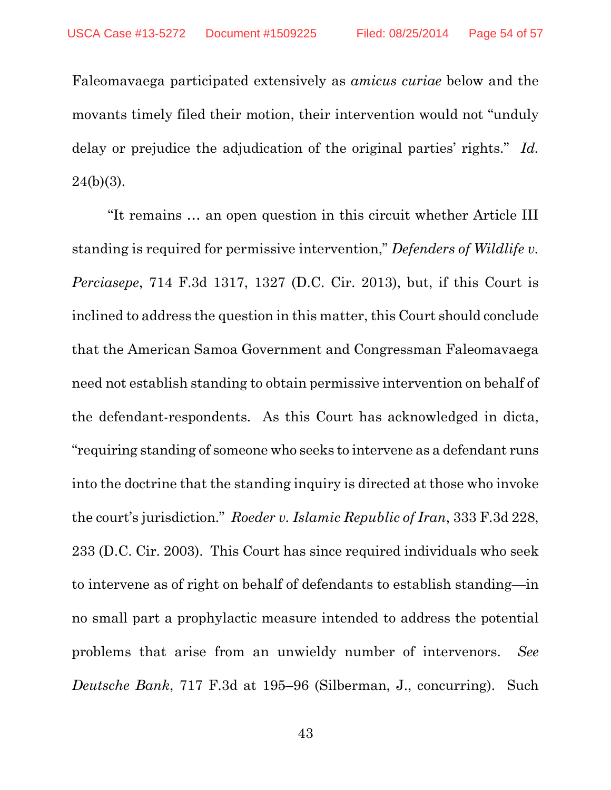Faleomavaega participated extensively as *amicus curiae* below and the movants timely filed their motion, their intervention would not "unduly delay or prejudice the adjudication of the original parties' rights." *Id.*  $24(b)(3)$ .

"It remains … an open question in this circuit whether Article III standing is required for permissive intervention," *Defenders of Wildlife v. Perciasepe*, 714 F.3d 1317, 1327 (D.C. Cir. 2013), but, if this Court is inclined to address the question in this matter, this Court should conclude that the American Samoa Government and Congressman Faleomavaega need not establish standing to obtain permissive intervention on behalf of the defendant-respondents. As this Court has acknowledged in dicta, "requiring standing of someone who seeks to intervene as a defendant runs into the doctrine that the standing inquiry is directed at those who invoke the court's jurisdiction." *Roeder v. Islamic Republic of Iran*, 333 F.3d 228, 233 (D.C. Cir. 2003). This Court has since required individuals who seek to intervene as of right on behalf of defendants to establish standing—in no small part a prophylactic measure intended to address the potential problems that arise from an unwieldy number of intervenors. *See Deutsche Bank*, 717 F.3d at 195–96 (Silberman, J., concurring). Such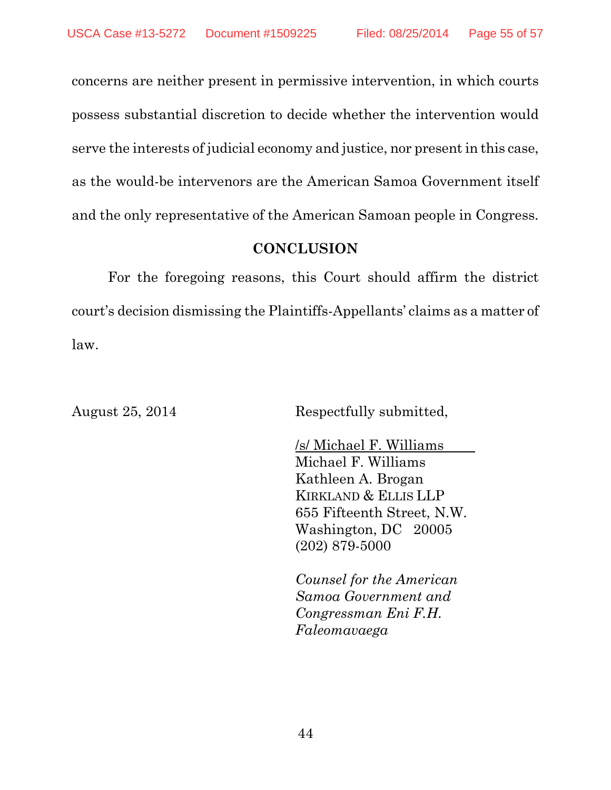concerns are neither present in permissive intervention, in which courts possess substantial discretion to decide whether the intervention would serve the interests of judicial economy and justice, nor present in this case, as the would-be intervenors are the American Samoa Government itself and the only representative of the American Samoan people in Congress.

### **CONCLUSION**

For the foregoing reasons, this Court should affirm the district court's decision dismissing the Plaintiffs-Appellants' claims as a matter of law.

August 25, 2014 Respectfully submitted,

/s/ Michael F. Williams Michael F. Williams Kathleen A. Brogan KIRKLAND & ELLIS LLP 655 Fifteenth Street, N.W. Washington, DC 20005 (202) 879-5000

*Counsel for the American Samoa Government and Congressman Eni F.H. Faleomavaega*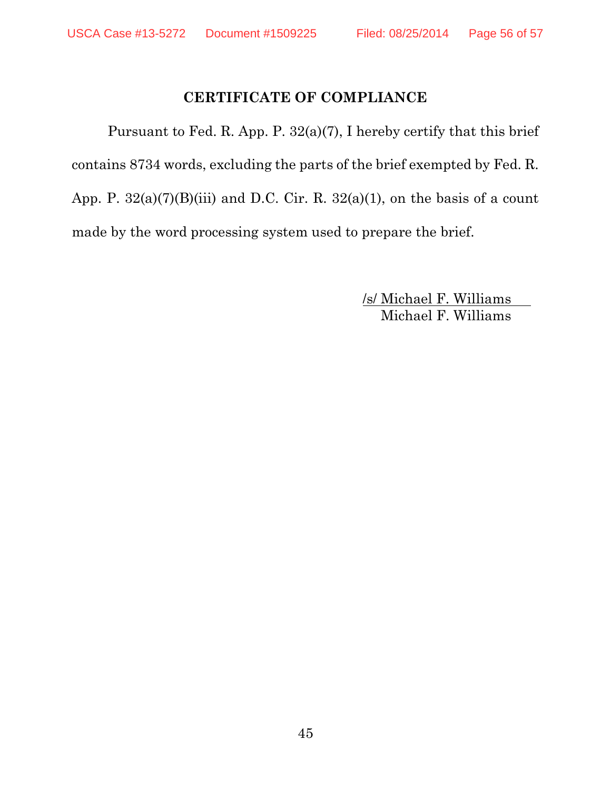## **CERTIFICATE OF COMPLIANCE**

Pursuant to Fed. R. App. P. 32(a)(7), I hereby certify that this brief contains 8734 words, excluding the parts of the brief exempted by Fed. R. App. P.  $32(a)(7)(B)(iii)$  and D.C. Cir. R.  $32(a)(1)$ , on the basis of a count made by the word processing system used to prepare the brief.

> /s/ Michael F. Williams Michael F. Williams